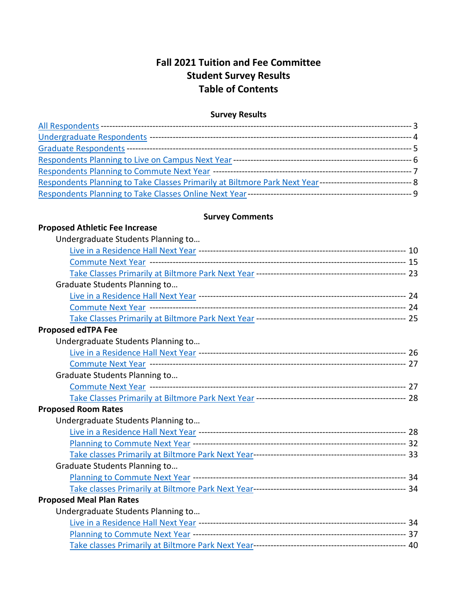# **Fall 2021 Tuition and Fee Committee Student Survey Results Table of Contents**

## **Survey Results**

| Respondents Planning to Take Classes Primarily at Biltmore Park Next Year---------------------------------- 8 |  |
|---------------------------------------------------------------------------------------------------------------|--|
|                                                                                                               |  |

## **Survey Comments**

#### **Proposed Athletic Fee Increase** Posso Auneue Fee Increase<br>— Undergraduate Students Planning to

<span id="page-0-0"></span>

| Undergraduate Students Planning to |  |
|------------------------------------|--|
|                                    |  |
|                                    |  |
|                                    |  |
| Graduate Students Planning to      |  |
|                                    |  |
|                                    |  |
|                                    |  |
| <b>Proposed edTPA Fee</b>          |  |
| Undergraduate Students Planning to |  |
|                                    |  |
|                                    |  |
| Graduate Students Planning to      |  |
|                                    |  |
|                                    |  |
| <b>Proposed Room Rates</b>         |  |
| Undergraduate Students Planning to |  |
|                                    |  |
|                                    |  |
|                                    |  |
| Graduate Students Planning to      |  |
|                                    |  |
|                                    |  |
| <b>Proposed Meal Plan Rates</b>    |  |
| Undergraduate Students Planning to |  |
|                                    |  |
|                                    |  |
|                                    |  |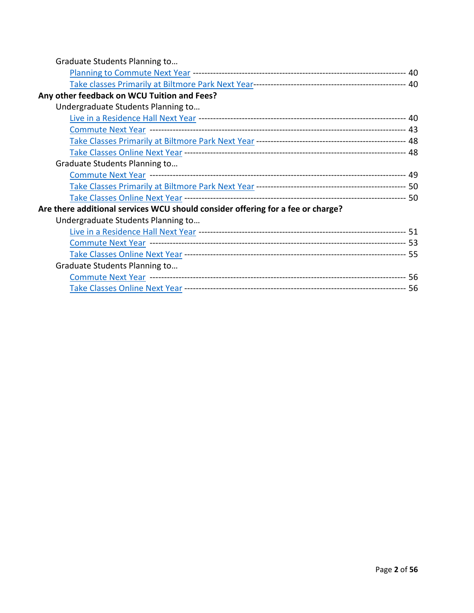| Graduate Students Planning to                                                   |  |
|---------------------------------------------------------------------------------|--|
|                                                                                 |  |
|                                                                                 |  |
| Any other feedback on WCU Tuition and Fees?                                     |  |
| Undergraduate Students Planning to                                              |  |
|                                                                                 |  |
|                                                                                 |  |
|                                                                                 |  |
|                                                                                 |  |
| Graduate Students Planning to                                                   |  |
|                                                                                 |  |
|                                                                                 |  |
|                                                                                 |  |
| Are there additional services WCU should consider offering for a fee or charge? |  |
| Undergraduate Students Planning to                                              |  |
|                                                                                 |  |
|                                                                                 |  |
|                                                                                 |  |
| Graduate Students Planning to                                                   |  |
|                                                                                 |  |
|                                                                                 |  |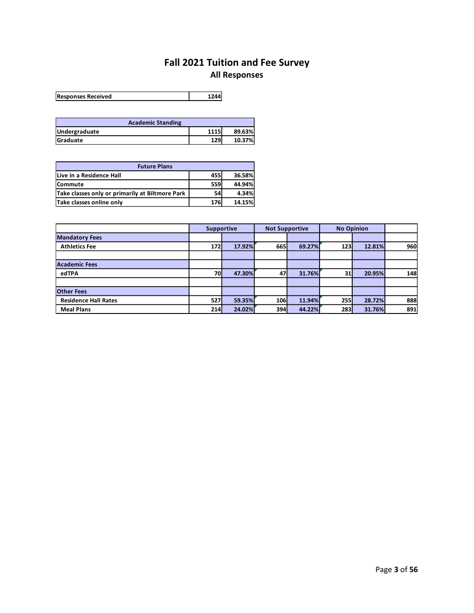# **Fall 2021 Tuition and Fee Survey All Responses**

<span id="page-2-0"></span>

| <b>Responses Received</b> | 1244 |
|---------------------------|------|
|---------------------------|------|

| <b>Academic Standing</b> |      |        |
|--------------------------|------|--------|
| Undergraduate            | 1115 | 89.63% |
| <b>Graduate</b>          | 129  | 10.37% |

| <b>Future Plans</b>                             |            |        |  |  |  |
|-------------------------------------------------|------------|--------|--|--|--|
| Live in a Residence Hall                        | <b>455</b> | 36.58% |  |  |  |
| Commute                                         | 559        | 44.94% |  |  |  |
| Take classes only or primarily at Biltmore Park | 54         | 4.34%  |  |  |  |
| Take classes online only                        | 176        | 14.15% |  |  |  |

|                             |     | <b>Supportive</b> | <b>Not Supportive</b> |        | <b>No Opinion</b> |        |     |
|-----------------------------|-----|-------------------|-----------------------|--------|-------------------|--------|-----|
| <b>Mandatory Fees</b>       |     |                   |                       |        |                   |        |     |
| <b>Athletics Fee</b>        | 172 | 17.92%            | 665                   | 69.27% | 123 <sub>l</sub>  | 12.81% | 960 |
|                             |     |                   |                       |        |                   |        |     |
| <b>Academic Fees</b>        |     |                   |                       |        |                   |        |     |
| edTPA                       | 70  | 47.30%            | 47                    | 31.76% | 31                | 20.95% | 148 |
|                             |     |                   |                       |        |                   |        |     |
| <b>Other Fees</b>           |     |                   |                       |        |                   |        |     |
| <b>Residence Hall Rates</b> | 527 | 59.35%            | 106                   | 11.94% | <b>255</b>        | 28.72% | 888 |
| <b>Meal Plans</b>           | 214 | 24.02%            | 394l                  | 44.22% | <b>283</b>        | 31.76% | 891 |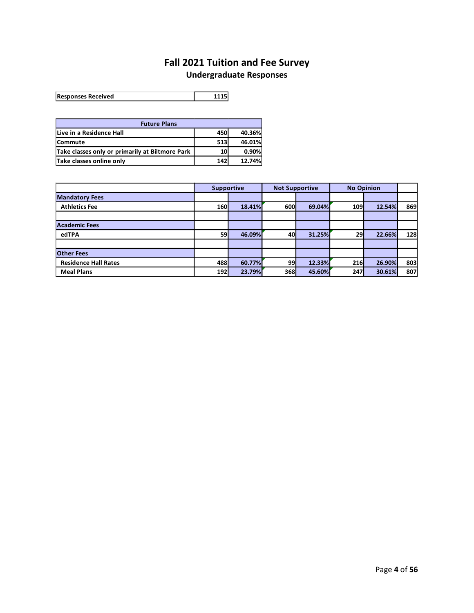# **Fall 2021 Tuition and Fee Survey Undergraduate Responses**

<span id="page-3-0"></span>

| <b>Responses Received</b> | 1115 |
|---------------------------|------|
|---------------------------|------|

| <b>Future Plans</b>                             |            |        |  |  |  |
|-------------------------------------------------|------------|--------|--|--|--|
| Live in a Residence Hall                        | <b>450</b> | 40.36% |  |  |  |
| <b>Commute</b>                                  | 513        | 46.01% |  |  |  |
| Take classes only or primarily at Biltmore Park | <b>10</b>  | 0.90%  |  |  |  |
| Take classes online only                        | 142        | 12.74% |  |  |  |

|                             |            | <b>No Opinion</b><br><b>Not Supportive</b><br><b>Supportive</b> |            |        |            |        |     |
|-----------------------------|------------|-----------------------------------------------------------------|------------|--------|------------|--------|-----|
| <b>Mandatory Fees</b>       |            |                                                                 |            |        |            |        |     |
| <b>Athletics Fee</b>        | <b>160</b> | 18.41%                                                          | <b>600</b> | 69.04% | <b>109</b> | 12.54% | 869 |
|                             |            |                                                                 |            |        |            |        |     |
| <b>Academic Fees</b>        |            |                                                                 |            |        |            |        |     |
| edTPA                       | <b>59</b>  | 46.09%                                                          | 40         | 31.25% | 29         | 22.66% | 128 |
|                             |            |                                                                 |            |        |            |        |     |
| <b>Other Fees</b>           |            |                                                                 |            |        |            |        |     |
| <b>Residence Hall Rates</b> | 488        | 60.77%                                                          | 99         | 12.33% | <b>216</b> | 26.90% | 803 |
| <b>Meal Plans</b>           | 192        | 23.79%                                                          | 368        | 45.60% | 247        | 30.61% | 807 |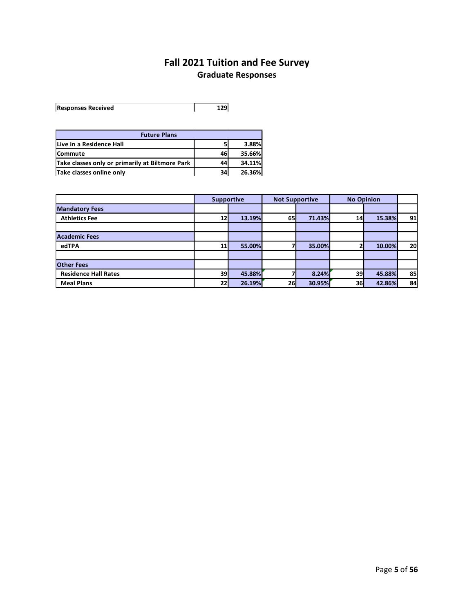# **Fall 2021 Tuition and Fee Survey Graduate Responses**

<span id="page-4-0"></span>

| <b>Responses Received</b> |  |
|---------------------------|--|

| <b>Future Plans</b>                             |    |        |
|-------------------------------------------------|----|--------|
| Live in a Residence Hall                        |    | 3.88%l |
| <b>Commute</b>                                  | 46 | 35.66% |
| Take classes only or primarily at Biltmore Park | 44 | 34.11% |
| Take classes online only                        | 34 | 26.36% |

|                             | <b>Supportive</b> |        | <b>Not Supportive</b> |        | <b>No Opinion</b> |        |    |
|-----------------------------|-------------------|--------|-----------------------|--------|-------------------|--------|----|
| <b>Mandatory Fees</b>       |                   |        |                       |        |                   |        |    |
| <b>Athletics Fee</b>        | 12                | 13.19% | <b>65</b>             | 71.43% | 14                | 15.38% | 91 |
|                             |                   |        |                       |        |                   |        |    |
| <b>Academic Fees</b>        |                   |        |                       |        |                   |        |    |
| edTPA                       | 11                | 55.00% |                       | 35.00% |                   | 10.00% | 20 |
|                             |                   |        |                       |        |                   |        |    |
| <b>Other Fees</b>           |                   |        |                       |        |                   |        |    |
| <b>Residence Hall Rates</b> | 39                | 45.88% |                       | 8.24%  | 39                | 45.88% | 85 |
| <b>Meal Plans</b>           | 22                | 26.19% | <b>26</b>             | 30.95% | 36                | 42.86% | 84 |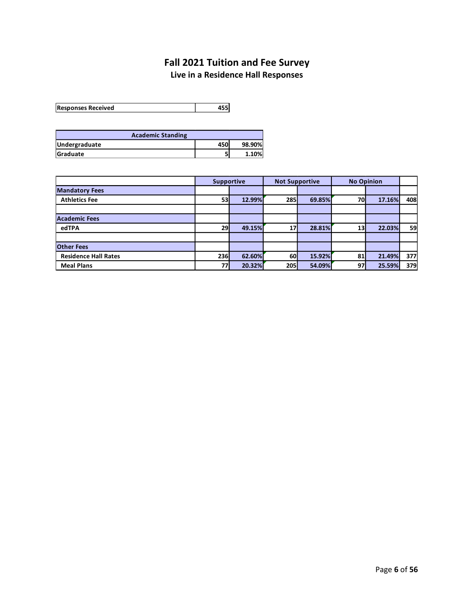# **Fall 2021 Tuition and Fee Survey Live in a Residence Hall Responses**

<span id="page-5-0"></span>**Responses Received 455**

| <b>Academic Standing</b> |            |        |
|--------------------------|------------|--------|
| Undergraduate            | <b>450</b> | 98.90% |
| <b>Graduate</b>          |            | 1.10%  |

|                             | <b>Supportive</b> |        | <b>Not Supportive</b> |        | <b>No Opinion</b> |        |     |
|-----------------------------|-------------------|--------|-----------------------|--------|-------------------|--------|-----|
| <b>Mandatory Fees</b>       |                   |        |                       |        |                   |        |     |
| <b>Athletics Fee</b>        | 53                | 12.99% | 285                   | 69.85% | 70                | 17.16% | 408 |
|                             |                   |        |                       |        |                   |        |     |
| <b>Academic Fees</b>        |                   |        |                       |        |                   |        |     |
| edTPA                       | 29                | 49.15% |                       | 28.81% | 13                | 22.03% | 59  |
|                             |                   |        |                       |        |                   |        |     |
| <b>Other Fees</b>           |                   |        |                       |        |                   |        |     |
| <b>Residence Hall Rates</b> | 236               | 62.60% | 60                    | 15.92% | 81                | 21.49% | 377 |
| <b>Meal Plans</b>           | 77                | 20.32% | 205                   | 54.09% | 97                | 25.59% | 379 |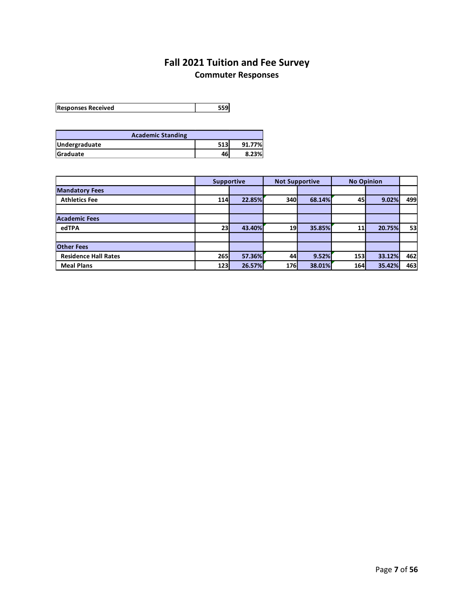# **Fall 2021 Tuition and Fee Survey Commuter Responses**

<span id="page-6-0"></span>**Responses Received 559**

| <b>Academic Standing</b> |            |        |
|--------------------------|------------|--------|
| Undergraduate            | <b>513</b> | 91.77% |
| <b>Graduate</b>          | 46         | 8.23%  |

|                             | <b>Supportive</b> |        | <b>Not Supportive</b> |        | <b>No Opinion</b> |        |     |
|-----------------------------|-------------------|--------|-----------------------|--------|-------------------|--------|-----|
| <b>Mandatory Fees</b>       |                   |        |                       |        |                   |        |     |
| <b>Athletics Fee</b>        | <b>114</b>        | 22.85% | <b>340</b>            | 68.14% | 45                | 9.02%  | 499 |
|                             |                   |        |                       |        |                   |        |     |
| <b>Academic Fees</b>        |                   |        |                       |        |                   |        |     |
| edTPA                       | 23                | 43.40% | 19                    | 35.85% |                   | 20.75% | 53  |
|                             |                   |        |                       |        |                   |        |     |
| <b>Other Fees</b>           |                   |        |                       |        |                   |        |     |
| <b>Residence Hall Rates</b> | 265               | 57.36% | 44                    | 9.52%  | <b>153</b>        | 33.12% | 462 |
| <b>Meal Plans</b>           | 123               | 26.57% | 176                   | 38.01% | <b>164</b>        | 35.42% | 463 |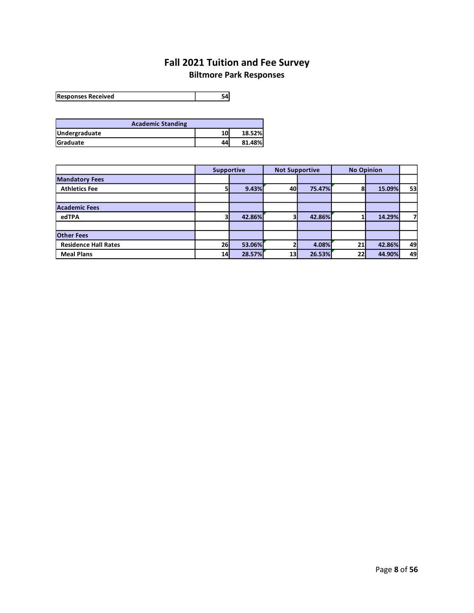# **Fall 2021 Tuition and Fee Survey**

# **Biltmore Park Responses**

<span id="page-7-0"></span>**Responses Received 54**

| <b>Academic Standing</b> |    |        |
|--------------------------|----|--------|
| Undergraduate            | 10 | 18.52% |
| <b>Graduate</b>          | 44 | 81.48% |

|                             | <b>Supportive</b> |        | <b>Not Supportive</b> |        | <b>No Opinion</b> |        |    |
|-----------------------------|-------------------|--------|-----------------------|--------|-------------------|--------|----|
| <b>Mandatory Fees</b>       |                   |        |                       |        |                   |        |    |
| <b>Athletics Fee</b>        |                   | 9.43%  | 40                    | 75.47% |                   | 15.09% | 53 |
|                             |                   |        |                       |        |                   |        |    |
| <b>Academic Fees</b>        |                   |        |                       |        |                   |        |    |
| edTPA                       |                   | 42.86% |                       | 42.86% |                   | 14.29% | 7  |
|                             |                   |        |                       |        |                   |        |    |
| <b>Other Fees</b>           |                   |        |                       |        |                   |        |    |
| <b>Residence Hall Rates</b> | 26                | 53.06% |                       | 4.08%  | 21                | 42.86% | 49 |
| <b>Meal Plans</b>           | 14                | 28.57% | 13                    | 26.53% | 22                | 44.90% | 49 |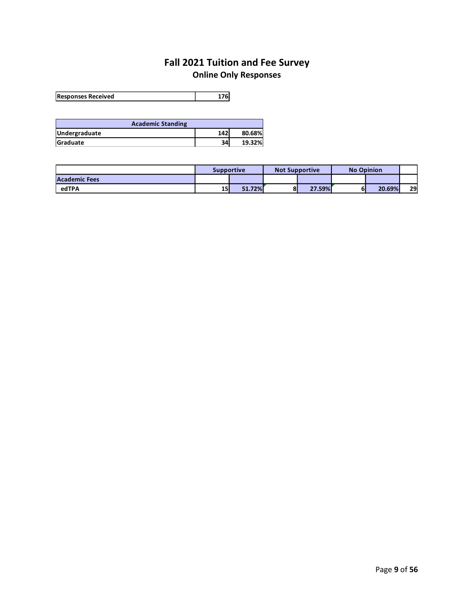# **Fall 2021 Tuition and Fee Survey Online Only Responses**

<span id="page-8-0"></span>

| <b>Responses Received</b> | 176 |
|---------------------------|-----|
|                           |     |

| <b>Academic Standing</b> |     |        |  |  |  |  |
|--------------------------|-----|--------|--|--|--|--|
| Undergraduate            | 142 | 80.68% |  |  |  |  |
| Graduate                 | 34  | 19.32% |  |  |  |  |

|                      | <b>Supportive</b> |        | <b>Not Supportive</b> |        | <b>No Opinion</b> |        |    |
|----------------------|-------------------|--------|-----------------------|--------|-------------------|--------|----|
| <b>Academic Fees</b> |                   |        |                       |        |                   |        |    |
| edTPA                | 15                | 51.72% | ο                     | 27.59% | 61                | 20.69% | 29 |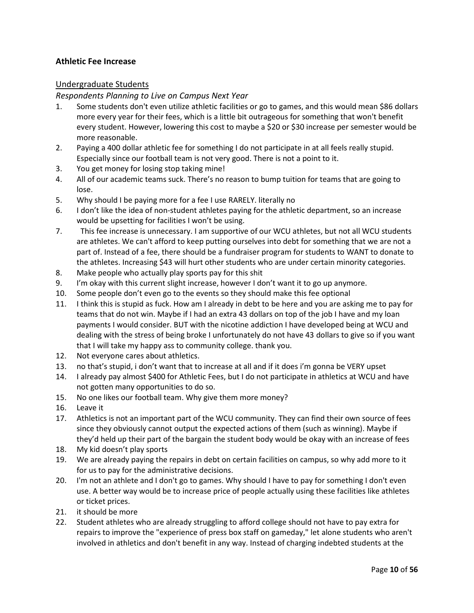## **Athletic Fee Increase**

## Undergraduate Students

#### <span id="page-9-0"></span>*Respondents Planning to Live on Campus Next Year*

- 1. Some students don't even utilize athletic facilities or go to games, and this would mean \$86 dollars more every year for their fees, which is a little bit outrageous for something that won't benefit every student. However, lowering this cost to maybe a \$20 or \$30 increase per semester would be more reasonable.
- 2. Paying a 400 dollar athletic fee for something I do not participate in at all feels really stupid. Especially since our football team is not very good. There is not a point to it.
- 3. You get money for losing stop taking mine!
- 4. All of our academic teams suck. There's no reason to bump tuition for teams that are going to lose.
- 5. Why should I be paying more for a fee I use RARELY. literally no
- 6. I don't like the idea of non-student athletes paying for the athletic department, so an increase would be upsetting for facilities I won't be using.
- 7. This fee increase is unnecessary. I am supportive of our WCU athletes, but not all WCU students are athletes. We can't afford to keep putting ourselves into debt for something that we are not a part of. Instead of a fee, there should be a fundraiser program for students to WANT to donate to the athletes. Increasing \$43 will hurt other students who are under certain minority categories.
- 8. Make people who actually play sports pay for this shit
- 9. I'm okay with this current slight increase, however I don't want it to go up anymore.
- 10. Some people don't even go to the events so they should make this fee optional
- 11. I think this is stupid as fuck. How am I already in debt to be here and you are asking me to pay for teams that do not win. Maybe if I had an extra 43 dollars on top of the job I have and my loan payments I would consider. BUT with the nicotine addiction I have developed being at WCU and dealing with the stress of being broke I unfortunately do not have 43 dollars to give so if you want that I will take my happy ass to community college. thank you.
- 12. Not everyone cares about athletics.
- 13. no that's stupid, i don't want that to increase at all and if it does i'm gonna be VERY upset
- 14. I already pay almost \$400 for Athletic Fees, but I do not participate in athletics at WCU and have not gotten many opportunities to do so.
- 15. No one likes our football team. Why give them more money?
- 16. Leave it
- 17. Athletics is not an important part of the WCU community. They can find their own source of fees since they obviously cannot output the expected actions of them (such as winning). Maybe if they'd held up their part of the bargain the student body would be okay with an increase of fees
- 18. My kid doesn't play sports
- 19. We are already paying the repairs in debt on certain facilities on campus, so why add more to it for us to pay for the administrative decisions.
- 20. I'm not an athlete and I don't go to games. Why should I have to pay for something I don't even use. A better way would be to increase price of people actually using these facilities like athletes or ticket prices.
- 21. it should be more
- 22. Student athletes who are already struggling to afford college should not have to pay extra for repairs to improve the "experience of press box staff on gameday," let alone students who aren't involved in athletics and don't benefit in any way. Instead of charging indebted students at the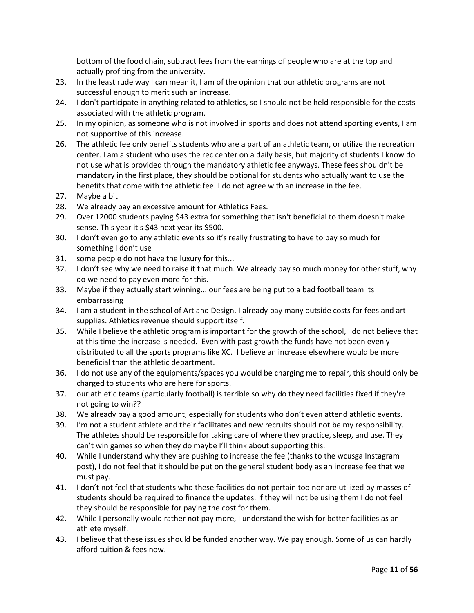bottom of the food chain, subtract fees from the earnings of people who are at the top and actually profiting from the university.

- 23. In the least rude way I can mean it, I am of the opinion that our athletic programs are not successful enough to merit such an increase.
- 24. I don't participate in anything related to athletics, so I should not be held responsible for the costs associated with the athletic program.
- 25. In my opinion, as someone who is not involved in sports and does not attend sporting events, I am not supportive of this increase.
- 26. The athletic fee only benefits students who are a part of an athletic team, or utilize the recreation center. I am a student who uses the rec center on a daily basis, but majority of students I know do not use what is provided through the mandatory athletic fee anyways. These fees shouldn't be mandatory in the first place, they should be optional for students who actually want to use the benefits that come with the athletic fee. I do not agree with an increase in the fee.
- 27. Maybe a bit
- 28. We already pay an excessive amount for Athletics Fees.
- 29. Over 12000 students paying \$43 extra for something that isn't beneficial to them doesn't make sense. This year it's \$43 next year its \$500.
- 30. I don't even go to any athletic events so it's really frustrating to have to pay so much for something I don't use
- 31. some people do not have the luxury for this...
- 32. I don't see why we need to raise it that much. We already pay so much money for other stuff, why do we need to pay even more for this.
- 33. Maybe if they actually start winning... our fees are being put to a bad football team its embarrassing
- 34. I am a student in the school of Art and Design. I already pay many outside costs for fees and art supplies. Athletics revenue should support itself.
- 35. While I believe the athletic program is important for the growth of the school, I do not believe that at this time the increase is needed. Even with past growth the funds have not been evenly distributed to all the sports programs like XC. I believe an increase elsewhere would be more beneficial than the athletic department.
- 36. I do not use any of the equipments/spaces you would be charging me to repair, this should only be charged to students who are here for sports.
- 37. our athletic teams (particularly football) is terrible so why do they need facilities fixed if they're not going to win??
- 38. We already pay a good amount, especially for students who don't even attend athletic events.
- 39. I'm not a student athlete and their facilitates and new recruits should not be my responsibility. The athletes should be responsible for taking care of where they practice, sleep, and use. They can't win games so when they do maybe I'll think about supporting this.
- 40. While I understand why they are pushing to increase the fee (thanks to the wcusga Instagram post), I do not feel that it should be put on the general student body as an increase fee that we must pay.
- 41. I don't not feel that students who these facilities do not pertain too nor are utilized by masses of students should be required to finance the updates. If they will not be using them I do not feel they should be responsible for paying the cost for them.
- 42. While I personally would rather not pay more, I understand the wish for better facilities as an athlete myself.
- 43. I believe that these issues should be funded another way. We pay enough. Some of us can hardly afford tuition & fees now.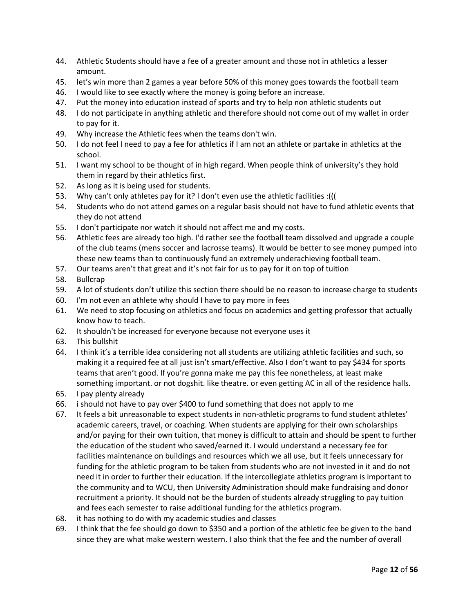- 44. Athletic Students should have a fee of a greater amount and those not in athletics a lesser amount.
- 45. let's win more than 2 games a year before 50% of this money goes towards the football team
- 46. I would like to see exactly where the money is going before an increase.
- 47. Put the money into education instead of sports and try to help non athletic students out
- 48. I do not participate in anything athletic and therefore should not come out of my wallet in order to pay for it.
- 49. Why increase the Athletic fees when the teams don't win.
- 50. I do not feel I need to pay a fee for athletics if I am not an athlete or partake in athletics at the school.
- 51. I want my school to be thought of in high regard. When people think of university's they hold them in regard by their athletics first.
- 52. As long as it is being used for students.
- 53. Why can't only athletes pay for it? I don't even use the athletic facilities :(((
- 54. Students who do not attend games on a regular basis should not have to fund athletic events that they do not attend
- 55. I don't participate nor watch it should not affect me and my costs.
- 56. Athletic fees are already too high. I'd rather see the football team dissolved and upgrade a couple of the club teams (mens soccer and lacrosse teams). It would be better to see money pumped into these new teams than to continuously fund an extremely underachieving football team.
- 57. Our teams aren't that great and it's not fair for us to pay for it on top of tuition
- 58. Bullcrap
- 59. A lot of students don't utilize this section there should be no reason to increase charge to students
- 60. I'm not even an athlete why should I have to pay more in fees
- 61. We need to stop focusing on athletics and focus on academics and getting professor that actually know how to teach.
- 62. It shouldn't be increased for everyone because not everyone uses it
- 63. This bullshit
- 64. I think it's a terrible idea considering not all students are utilizing athletic facilities and such, so making it a required fee at all just isn't smart/effective. Also I don't want to pay \$434 for sports teams that aren't good. If you're gonna make me pay this fee nonetheless, at least make something important. or not dogshit. like theatre. or even getting AC in all of the residence halls.
- 65. I pay plenty already
- 66. i should not have to pay over \$400 to fund something that does not apply to me
- 67. It feels a bit unreasonable to expect students in non-athletic programs to fund student athletes' academic careers, travel, or coaching. When students are applying for their own scholarships and/or paying for their own tuition, that money is difficult to attain and should be spent to further the education of the student who saved/earned it. I would understand a necessary fee for facilities maintenance on buildings and resources which we all use, but it feels unnecessary for funding for the athletic program to be taken from students who are not invested in it and do not need it in order to further their education. If the intercollegiate athletics program is important to the community and to WCU, then University Administration should make fundraising and donor recruitment a priority. It should not be the burden of students already struggling to pay tuition and fees each semester to raise additional funding for the athletics program.
- 68. it has nothing to do with my academic studies and classes
- 69. I think that the fee should go down to \$350 and a portion of the athletic fee be given to the band since they are what make western western. I also think that the fee and the number of overall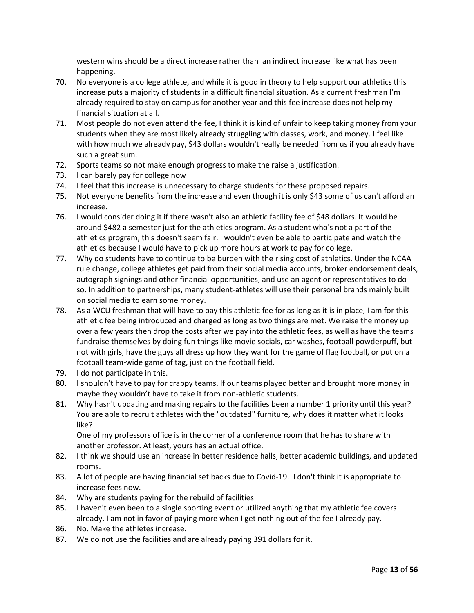western wins should be a direct increase rather than an indirect increase like what has been happening.

- 70. No everyone is a college athlete, and while it is good in theory to help support our athletics this increase puts a majority of students in a difficult financial situation. As a current freshman I'm already required to stay on campus for another year and this fee increase does not help my financial situation at all.
- 71. Most people do not even attend the fee, I think it is kind of unfair to keep taking money from your students when they are most likely already struggling with classes, work, and money. I feel like with how much we already pay, \$43 dollars wouldn't really be needed from us if you already have such a great sum.
- 72. Sports teams so not make enough progress to make the raise a justification.
- 73. I can barely pay for college now
- 74. I feel that this increase is unnecessary to charge students for these proposed repairs.
- 75. Not everyone benefits from the increase and even though it is only \$43 some of us can't afford an increase.
- 76. I would consider doing it if there wasn't also an athletic facility fee of \$48 dollars. It would be around \$482 a semester just for the athletics program. As a student who's not a part of the athletics program, this doesn't seem fair. I wouldn't even be able to participate and watch the athletics because I would have to pick up more hours at work to pay for college.
- 77. Why do students have to continue to be burden with the rising cost of athletics. Under the NCAA rule change, college athletes get paid from their social media accounts, broker endorsement deals, autograph signings and other financial opportunities, and use an agent or representatives to do so. In addition to partnerships, many student-athletes will use their personal brands mainly built on social media to earn some money.
- 78. As a WCU freshman that will have to pay this athletic fee for as long as it is in place, I am for this athletic fee being introduced and charged as long as two things are met. We raise the money up over a few years then drop the costs after we pay into the athletic fees, as well as have the teams fundraise themselves by doing fun things like movie socials, car washes, football powderpuff, but not with girls, have the guys all dress up how they want for the game of flag football, or put on a football team-wide game of tag, just on the football field.
- 79. I do not participate in this.
- 80. I shouldn't have to pay for crappy teams. If our teams played better and brought more money in maybe they wouldn't have to take it from non-athletic students.
- 81. Why hasn't updating and making repairs to the facilities been a number 1 priority until this year? You are able to recruit athletes with the "outdated" furniture, why does it matter what it looks like?

One of my professors office is in the corner of a conference room that he has to share with another professor. At least, yours has an actual office.

- 82. I think we should use an increase in better residence halls, better academic buildings, and updated rooms.
- 83. A lot of people are having financial set backs due to Covid-19. I don't think it is appropriate to increase fees now.
- 84. Why are students paying for the rebuild of facilities
- 85. I haven't even been to a single sporting event or utilized anything that my athletic fee covers already. I am not in favor of paying more when I get nothing out of the fee I already pay.
- 86. No. Make the athletes increase.
- 87. We do not use the facilities and are already paying 391 dollars for it.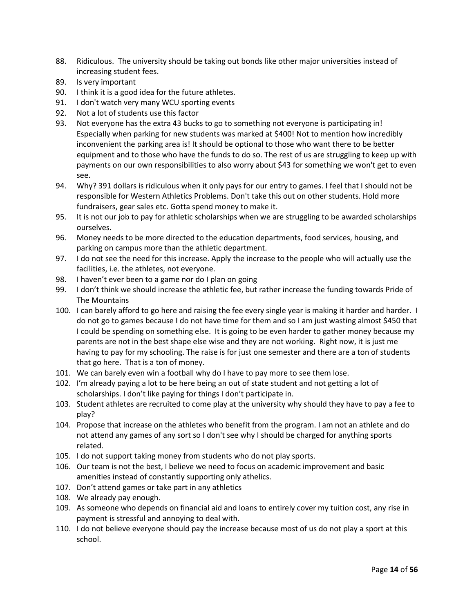- 88. Ridiculous. The university should be taking out bonds like other major universities instead of increasing student fees.
- 89. Is very important
- 90. I think it is a good idea for the future athletes.
- 91. I don't watch very many WCU sporting events
- 92. Not a lot of students use this factor
- 93. Not everyone has the extra 43 bucks to go to something not everyone is participating in! Especially when parking for new students was marked at \$400! Not to mention how incredibly inconvenient the parking area is! It should be optional to those who want there to be better equipment and to those who have the funds to do so. The rest of us are struggling to keep up with payments on our own responsibilities to also worry about \$43 for something we won't get to even see.
- 94. Why? 391 dollars is ridiculous when it only pays for our entry to games. I feel that I should not be responsible for Western Athletics Problems. Don't take this out on other students. Hold more fundraisers, gear sales etc. Gotta spend money to make it.
- 95. It is not our job to pay for athletic scholarships when we are struggling to be awarded scholarships ourselves.
- 96. Money needs to be more directed to the education departments, food services, housing, and parking on campus more than the athletic department.
- 97. I do not see the need for this increase. Apply the increase to the people who will actually use the facilities, i.e. the athletes, not everyone.
- 98. I haven't ever been to a game nor do I plan on going
- 99. I don't think we should increase the athletic fee, but rather increase the funding towards Pride of The Mountains
- 100. I can barely afford to go here and raising the fee every single year is making it harder and harder. I do not go to games because I do not have time for them and so I am just wasting almost \$450 that I could be spending on something else. It is going to be even harder to gather money because my parents are not in the best shape else wise and they are not working. Right now, it is just me having to pay for my schooling. The raise is for just one semester and there are a ton of students that go here. That is a ton of money.
- 101. We can barely even win a football why do I have to pay more to see them lose.
- 102. I'm already paying a lot to be here being an out of state student and not getting a lot of scholarships. I don't like paying for things I don't participate in.
- 103. Student athletes are recruited to come play at the university why should they have to pay a fee to play?
- 104. Propose that increase on the athletes who benefit from the program. I am not an athlete and do not attend any games of any sort so I don't see why I should be charged for anything sports related.
- 105. I do not support taking money from students who do not play sports.
- 106. Our team is not the best, I believe we need to focus on academic improvement and basic amenities instead of constantly supporting only athelics.
- 107. Don't attend games or take part in any athletics
- 108. We already pay enough.
- 109. As someone who depends on financial aid and loans to entirely cover my tuition cost, any rise in payment is stressful and annoying to deal with.
- 110. I do not believe everyone should pay the increase because most of us do not play a sport at this school.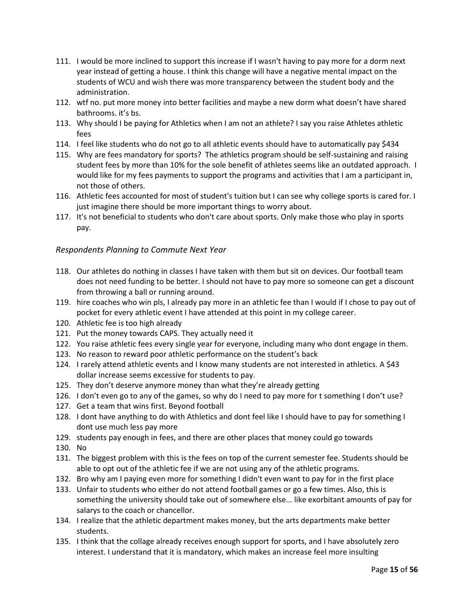- 111. I would be more inclined to support this increase if I wasn't having to pay more for a dorm next year instead of getting a house. I think this change will have a negative mental impact on the students of WCU and wish there was more transparency between the student body and the administration.
- 112. wtf no. put more money into better facilities and maybe a new dorm what doesn't have shared bathrooms. it's bs.
- 113. Why should I be paying for Athletics when I am not an athlete? I say you raise Athletes athletic fees
- 114. I feel like students who do not go to all athletic events should have to automatically pay \$434
- 115. Why are fees mandatory for sports? The athletics program should be self-sustaining and raising student fees by more than 10% for the sole benefit of athletes seems like an outdated approach. I would like for my fees payments to support the programs and activities that I am a participant in, not those of others.
- 116. Athletic fees accounted for most of student's tuition but I can see why college sports is cared for. I just imagine there should be more important things to worry about.
- 117. It's not beneficial to students who don't care about sports. Only make those who play in sports pay.

## *Respondents Planning to Commute Next Year*

- 118. Our athletes do nothing in classes I have taken with them but sit on devices. Our football team does not need funding to be better. I should not have to pay more so someone can get a discount from throwing a ball or running around.
- 119. hire coaches who win pls, I already pay more in an athletic fee than I would if I chose to pay out of pocket for every athletic event I have attended at this point in my college career.
- 120. Athletic fee is too high already
- 121. Put the money towards CAPS. They actually need it
- 122. You raise athletic fees every single year for everyone, including many who dont engage in them.
- 123. No reason to reward poor athletic performance on the student's back
- 124. I rarely attend athletic events and I know many students are not interested in athletics. A \$43 dollar increase seems excessive for students to pay.
- 125. They don't deserve anymore money than what they're already getting
- 126. I don't even go to any of the games, so why do I need to pay more for t something I don't use?
- 127. Get a team that wins first. Beyond football
- 128. I dont have anything to do with Athletics and dont feel like I should have to pay for something I dont use much less pay more
- 129. students pay enough in fees, and there are other places that money could go towards
- 130. No
- 131. The biggest problem with this is the fees on top of the current semester fee. Students should be able to opt out of the athletic fee if we are not using any of the athletic programs.
- 132. Bro why am I paying even more for something I didn't even want to pay for in the first place
- 133. Unfair to students who either do not attend football games or go a few times. Also, this is something the university should take out of somewhere else... like exorbitant amounts of pay for salarys to the coach or chancellor.
- 134. I realize that the athletic department makes money, but the arts departments make better students.
- 135. I think that the collage already receives enough support for sports, and I have absolutely zero interest. I understand that it is mandatory, which makes an increase feel more insulting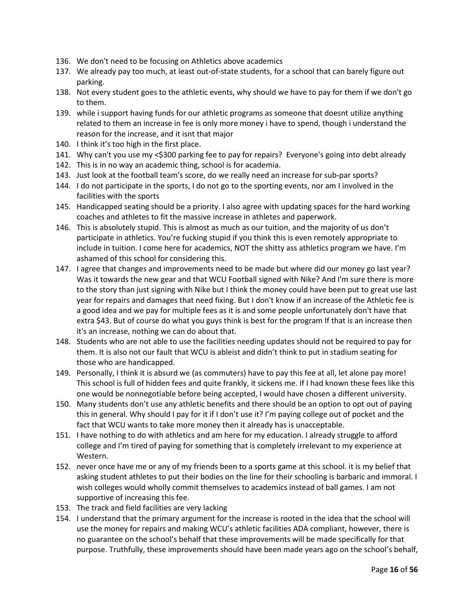- 136. We don't need to be focusing on Athletics above academics
- 137. We already pay too much, at least out-of-state students, for a school that can barely figure out parking.
- 138. Not every student goes to the athletic events, why should we have to pay for them if we don't go to them.
- 139. while i support having funds for our athletic programs as someone that doesnt utilize anything related to them an increase in fee is only more money i have to spend, though i understand the reason for the increase, and it isnt that major
- 140. I think it's too high in the first place.
- 141. Why can't you use my <\$300 parking fee to pay for repairs? Everyone's going into debt already
- 142. This is in no way an academic thing, school is for academia.
- 143. Just look at the football team's score, do we really need an increase for sub-par sports?
- 144. I do not participate in the sports, I do not go to the sporting events, nor am I involved in the facilities with the sports
- 145. Handicapped seating should be a priority. I also agree with updating spaces for the hard working coaches and athletes to fit the massive increase in athletes and paperwork.
- 146. This is absolutely stupid. This is almost as much as our tuition, and the majority of us don't participate in athletics. You're fucking stupid if you think this is even remotely appropriate to include in tuition. I come here for academics, NOT the shitty ass athletics program we have. I'm ashamed of this school for considering this.
- 147. I agree that changes and improvements need to be made but where did our money go last year? Was it towards the new gear and that WCU Football signed with Nike? And I'm sure there is more to the story than just signing with Nike but I think the money could have been put to great use last year for repairs and damages that need fixing. But I don't know if an increase of the Athletic fee is a good idea and we pay for multiple fees as it is and some people unfortunately don't have that extra \$43. But of course do what you guys think is best for the program If that is an increase then it's an increase, nothing we can do about that.
- 148. Students who are not able to use the facilities needing updates should not be required to pay for them. It is also not our fault that WCU is ableist and didn't think to put in stadium seating for those who are handicapped.
- 149. Personally, I think it is absurd we (as commuters) have to pay this fee at all, let alone pay more! This school is full of hidden fees and quite frankly, it sickens me. If I had known these fees like this one would be nonnegotiable before being accepted, I would have chosen a different university.
- 150. Many students don't use any athletic benefits and there should be an option to opt out of paying this in general. Why should I pay for it if I don't use it? I'm paying college out of pocket and the fact that WCU wants to take more money then it already has is unacceptable.
- 151. I have nothing to do with athletics and am here for my education. I already struggle to afford college and I'm tired of paying for something that is completely irrelevant to my experience at Western.
- 152. never once have me or any of my friends been to a sports game at this school. it is my belief that asking student athletes to put their bodies on the line for their schooling is barbaric and immoral. I wish colleges would wholly commit themselves to academics instead of ball games. I am not supportive of increasing this fee.
- 153. The track and field facilities are very lacking
- 154. I understand that the primary argument for the increase is rooted in the idea that the school will use the money for repairs and making WCU's athletic facilities ADA compliant, however, there is no guarantee on the school's behalf that these improvements will be made specifically for that purpose. Truthfully, these improvements should have been made years ago on the school's behalf,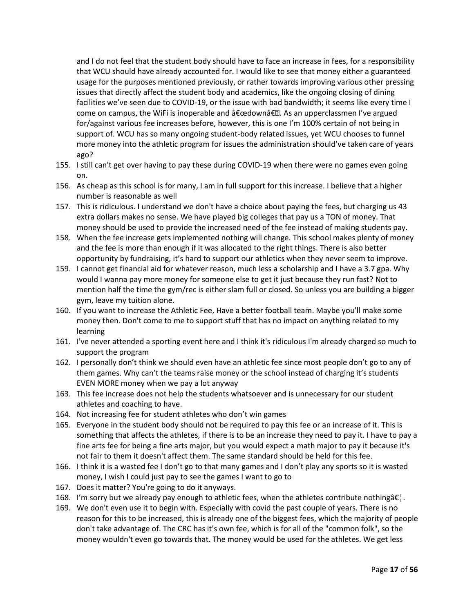and I do not feel that the student body should have to face an increase in fees, for a responsibility that WCU should have already accounted for. I would like to see that money either a guaranteed usage for the purposes mentioned previously, or rather towards improving various other pressing issues that directly affect the student body and academics, like the ongoing closing of dining facilities we've seen due to COVID-19, or the issue with bad bandwidth; it seems like every time I come on campus, the WiFi is inoperable and  $â€$ œdown―. As an upperclassmen I've argued for/against various fee increases before, however, this is one I'm 100% certain of not being in support of. WCU has so many ongoing student-body related issues, yet WCU chooses to funnel more money into the athletic program for issues the administration should've taken care of years ago?

- 155. I still can't get over having to pay these during COVID-19 when there were no games even going on.
- 156. As cheap as this school is for many, I am in full support for this increase. I believe that a higher number is reasonable as well
- 157. This is ridiculous. I understand we don't have a choice about paying the fees, but charging us 43 extra dollars makes no sense. We have played big colleges that pay us a TON of money. That money should be used to provide the increased need of the fee instead of making students pay.
- 158. When the fee increase gets implemented nothing will change. This school makes plenty of money and the fee is more than enough if it was allocated to the right things. There is also better opportunity by fundraising, it's hard to support our athletics when they never seem to improve.
- 159. I cannot get financial aid for whatever reason, much less a scholarship and I have a 3.7 gpa. Why would I wanna pay more money for someone else to get it just because they run fast? Not to mention half the time the gym/rec is either slam full or closed. So unless you are building a bigger gym, leave my tuition alone.
- 160. If you want to increase the Athletic Fee, Have a better football team. Maybe you'll make some money then. Don't come to me to support stuff that has no impact on anything related to my learning
- 161. I've never attended a sporting event here and I think it's ridiculous I'm already charged so much to support the program
- 162. I personally don't think we should even have an athletic fee since most people don't go to any of them games. Why can't the teams raise money or the school instead of charging it's students EVEN MORE money when we pay a lot anyway
- 163. This fee increase does not help the students whatsoever and is unnecessary for our student athletes and coaching to have.
- 164. Not increasing fee for student athletes who don't win games
- 165. Everyone in the student body should not be required to pay this fee or an increase of it. This is something that affects the athletes, if there is to be an increase they need to pay it. I have to pay a fine arts fee for being a fine arts major, but you would expect a math major to pay it because it's not fair to them it doesn't affect them. The same standard should be held for this fee.
- 166. I think it is a wasted fee I don't go to that many games and I don't play any sports so it is wasted money, I wish I could just pay to see the games I want to go to
- 167. Does it matter? You're going to do it anyways.
- 168. I'm sorry but we already pay enough to athletic fees, when the athletes contribute nothing  $\hat{\epsilon}$ .
- 169. We don't even use it to begin with. Especially with covid the past couple of years. There is no reason for this to be increased, this is already one of the biggest fees, which the majority of people don't take advantage of. The CRC has it's own fee, which is for all of the "common folk", so the money wouldn't even go towards that. The money would be used for the athletes. We get less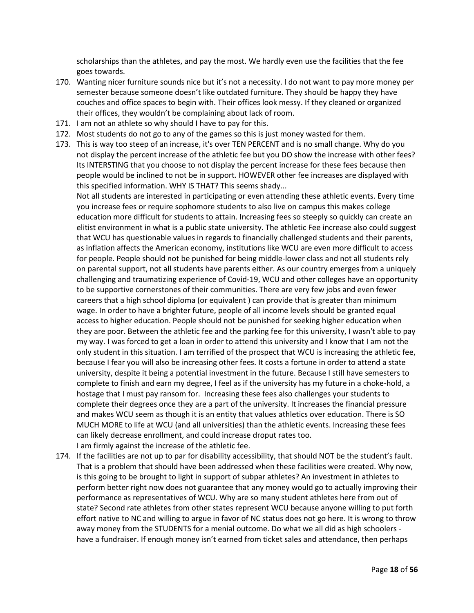scholarships than the athletes, and pay the most. We hardly even use the facilities that the fee goes towards.

- 170. Wanting nicer furniture sounds nice but it's not a necessity. I do not want to pay more money per semester because someone doesn't like outdated furniture. They should be happy they have couches and office spaces to begin with. Their offices look messy. If they cleaned or organized their offices, they wouldn't be complaining about lack of room.
- 171. I am not an athlete so why should I have to pay for this.
- 172. Most students do not go to any of the games so this is just money wasted for them.
- 173. This is way too steep of an increase, it's over TEN PERCENT and is no small change. Why do you not display the percent increase of the athletic fee but you DO show the increase with other fees? Its INTERSTING that you choose to not display the percent increase for these fees because then people would be inclined to not be in support. HOWEVER other fee increases are displayed with this specified information. WHY IS THAT? This seems shady...

Not all students are interested in participating or even attending these athletic events. Every time you increase fees or require sophomore students to also live on campus this makes college education more difficult for students to attain. Increasing fees so steeply so quickly can create an elitist environment in what is a public state university. The athletic Fee increase also could suggest that WCU has questionable values in regards to financially challenged students and their parents, as inflation affects the American economy, institutions like WCU are even more difficult to access for people. People should not be punished for being middle-lower class and not all students rely on parental support, not all students have parents either. As our country emerges from a uniquely challenging and traumatizing experience of Covid-19, WCU and other colleges have an opportunity to be supportive cornerstones of their communities. There are very few jobs and even fewer careers that a high school diploma (or equivalent ) can provide that is greater than minimum wage. In order to have a brighter future, people of all income levels should be granted equal access to higher education. People should not be punished for seeking higher education when they are poor. Between the athletic fee and the parking fee for this university, I wasn't able to pay my way. I was forced to get a loan in order to attend this university and I know that I am not the only student in this situation. I am terrified of the prospect that WCU is increasing the athletic fee, because I fear you will also be increasing other fees. It costs a fortune in order to attend a state university, despite it being a potential investment in the future. Because I still have semesters to complete to finish and earn my degree, I feel as if the university has my future in a choke-hold, a hostage that I must pay ransom for. Increasing these fees also challenges your students to complete their degrees once they are a part of the university. It increases the financial pressure and makes WCU seem as though it is an entity that values athletics over education. There is SO MUCH MORE to life at WCU (and all universities) than the athletic events. Increasing these fees can likely decrease enrollment, and could increase droput rates too. I am firmly against the increase of the athletic fee.

174. If the facilities are not up to par for disability accessibility, that should NOT be the student's fault. That is a problem that should have been addressed when these facilities were created. Why now, is this going to be brought to light in support of subpar athletes? An investment in athletes to perform better right now does not guarantee that any money would go to actually improving their performance as representatives of WCU. Why are so many student athletes here from out of state? Second rate athletes from other states represent WCU because anyone willing to put forth effort native to NC and willing to argue in favor of NC status does not go here. It is wrong to throw away money from the STUDENTS for a menial outcome. Do what we all did as high schoolers have a fundraiser. If enough money isn't earned from ticket sales and attendance, then perhaps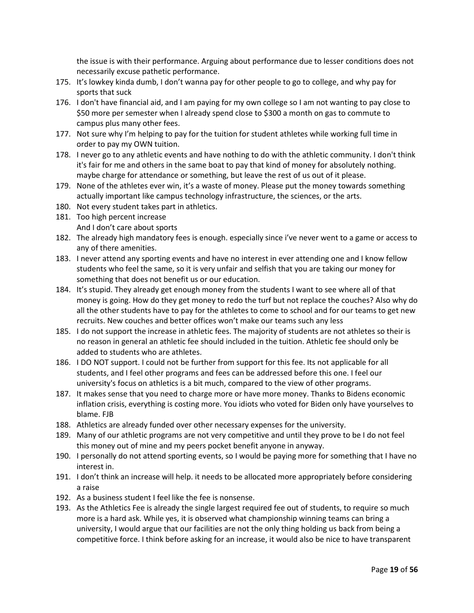the issue is with their performance. Arguing about performance due to lesser conditions does not necessarily excuse pathetic performance.

- 175. It's lowkey kinda dumb, I don't wanna pay for other people to go to college, and why pay for sports that suck
- 176. I don't have financial aid, and I am paying for my own college so I am not wanting to pay close to \$50 more per semester when I already spend close to \$300 a month on gas to commute to campus plus many other fees.
- 177. Not sure why I'm helping to pay for the tuition for student athletes while working full time in order to pay my OWN tuition.
- 178. I never go to any athletic events and have nothing to do with the athletic community. I don't think it's fair for me and others in the same boat to pay that kind of money for absolutely nothing. maybe charge for attendance or something, but leave the rest of us out of it please.
- 179. None of the athletes ever win, it's a waste of money. Please put the money towards something actually important like campus technology infrastructure, the sciences, or the arts.
- 180. Not every student takes part in athletics.
- 181. Too high percent increase And I don't care about sports
- 182. The already high mandatory fees is enough. especially since i've never went to a game or access to any of there amenities.
- 183. I never attend any sporting events and have no interest in ever attending one and I know fellow students who feel the same, so it is very unfair and selfish that you are taking our money for something that does not benefit us or our education.
- 184. It's stupid. They already get enough money from the students I want to see where all of that money is going. How do they get money to redo the turf but not replace the couches? Also why do all the other students have to pay for the athletes to come to school and for our teams to get new recruits. New couches and better offices won't make our teams such any less
- 185. I do not support the increase in athletic fees. The majority of students are not athletes so their is no reason in general an athletic fee should included in the tuition. Athletic fee should only be added to students who are athletes.
- 186. I DO NOT support. I could not be further from support for this fee. Its not applicable for all students, and I feel other programs and fees can be addressed before this one. I feel our university's focus on athletics is a bit much, compared to the view of other programs.
- 187. It makes sense that you need to charge more or have more money. Thanks to Bidens economic inflation crisis, everything is costing more. You idiots who voted for Biden only have yourselves to blame. FJB
- 188. Athletics are already funded over other necessary expenses for the university.
- 189. Many of our athletic programs are not very competitive and until they prove to be I do not feel this money out of mine and my peers pocket benefit anyone in anyway.
- 190. I personally do not attend sporting events, so I would be paying more for something that I have no interest in.
- 191. I don't think an increase will help. it needs to be allocated more appropriately before considering a raise
- 192. As a business student I feel like the fee is nonsense.
- 193. As the Athletics Fee is already the single largest required fee out of students, to require so much more is a hard ask. While yes, it is observed what championship winning teams can bring a university, I would argue that our facilities are not the only thing holding us back from being a competitive force. I think before asking for an increase, it would also be nice to have transparent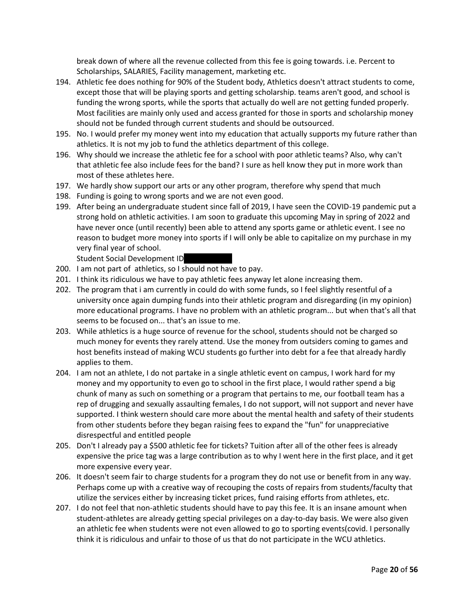break down of where all the revenue collected from this fee is going towards. i.e. Percent to Scholarships, SALARIES, Facility management, marketing etc.

- 194. Athletic fee does nothing for 90% of the Student body, Athletics doesn't attract students to come, except those that will be playing sports and getting scholarship. teams aren't good, and school is funding the wrong sports, while the sports that actually do well are not getting funded properly. Most facilities are mainly only used and access granted for those in sports and scholarship money should not be funded through current students and should be outsourced.
- 195. No. I would prefer my money went into my education that actually supports my future rather than athletics. It is not my job to fund the athletics department of this college.
- 196. Why should we increase the athletic fee for a school with poor athletic teams? Also, why can't that athletic fee also include fees for the band? I sure as hell know they put in more work than most of these athletes here.
- 197. We hardly show support our arts or any other program, therefore why spend that much
- 198. Funding is going to wrong sports and we are not even good.
- 199. After being an undergraduate student since fall of 2019, I have seen the COVID-19 pandemic put a strong hold on athletic activities. I am soon to graduate this upcoming May in spring of 2022 and have never once (until recently) been able to attend any sports game or athletic event. I see no reason to budget more money into sports if I will only be able to capitalize on my purchase in my very final year of school.

Student Social Development ID

- 200. I am not part of athletics, so I should not have to pay.
- 201. I think its ridiculous we have to pay athletic fees anyway let alone increasing them.
- 202. The program that i am currently in could do with some funds, so I feel slightly resentful of a university once again dumping funds into their athletic program and disregarding (in my opinion) more educational programs. I have no problem with an athletic program... but when that's all that seems to be focused on... that's an issue to me.
- 203. While athletics is a huge source of revenue for the school, students should not be charged so much money for events they rarely attend. Use the money from outsiders coming to games and host benefits instead of making WCU students go further into debt for a fee that already hardly applies to them.
- 204. I am not an athlete, I do not partake in a single athletic event on campus, I work hard for my money and my opportunity to even go to school in the first place, I would rather spend a big chunk of many as such on something or a program that pertains to me, our football team has a rep of drugging and sexually assaulting females, I do not support, will not support and never have supported. I think western should care more about the mental health and safety of their students from other students before they began raising fees to expand the "fun" for unappreciative disrespectful and entitled people
- 205. Don't I already pay a \$500 athletic fee for tickets? Tuition after all of the other fees is already expensive the price tag was a large contribution as to why I went here in the first place, and it get more expensive every year.
- 206. It doesn't seem fair to charge students for a program they do not use or benefit from in any way. Perhaps come up with a creative way of recouping the costs of repairs from students/faculty that utilize the services either by increasing ticket prices, fund raising efforts from athletes, etc.
- 207. I do not feel that non-athletic students should have to pay this fee. It is an insane amount when student-athletes are already getting special privileges on a day-to-day basis. We were also given an athletic fee when students were not even allowed to go to sporting events(covid. I personally think it is ridiculous and unfair to those of us that do not participate in the WCU athletics.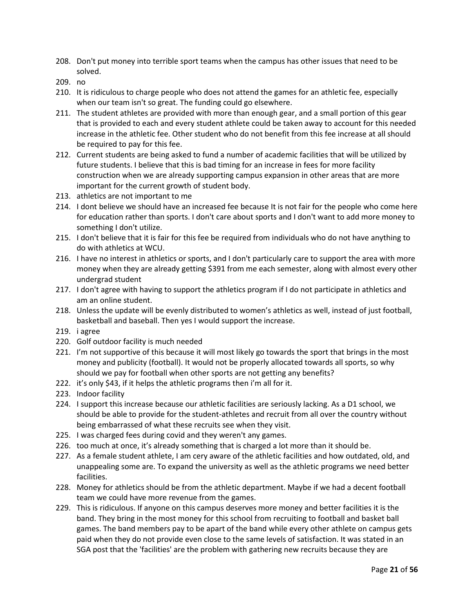- 208. Don't put money into terrible sport teams when the campus has other issues that need to be solved.
- 209. no
- 210. It is ridiculous to charge people who does not attend the games for an athletic fee, especially when our team isn't so great. The funding could go elsewhere.
- 211. The student athletes are provided with more than enough gear, and a small portion of this gear that is provided to each and every student athlete could be taken away to account for this needed increase in the athletic fee. Other student who do not benefit from this fee increase at all should be required to pay for this fee.
- 212. Current students are being asked to fund a number of academic facilities that will be utilized by future students. I believe that this is bad timing for an increase in fees for more facility construction when we are already supporting campus expansion in other areas that are more important for the current growth of student body.
- 213. athletics are not important to me
- 214. I dont believe we should have an increased fee because It is not fair for the people who come here for education rather than sports. I don't care about sports and I don't want to add more money to something I don't utilize.
- 215. I don't believe that it is fair for this fee be required from individuals who do not have anything to do with athletics at WCU.
- 216. I have no interest in athletics or sports, and I don't particularly care to support the area with more money when they are already getting \$391 from me each semester, along with almost every other undergrad student
- 217. I don't agree with having to support the athletics program if I do not participate in athletics and am an online student.
- 218. Unless the update will be evenly distributed to women's athletics as well, instead of just football, basketball and baseball. Then yes I would support the increase.
- 219. i agree
- 220. Golf outdoor facility is much needed
- 221. I'm not supportive of this because it will most likely go towards the sport that brings in the most money and publicity (football). It would not be properly allocated towards all sports, so why should we pay for football when other sports are not getting any benefits?
- 222. it's only \$43, if it helps the athletic programs then i'm all for it.
- 223. Indoor facility
- 224. I support this increase because our athletic facilities are seriously lacking. As a D1 school, we should be able to provide for the student-athletes and recruit from all over the country without being embarrassed of what these recruits see when they visit.
- 225. I was charged fees during covid and they weren't any games.
- 226. too much at once, it's already something that is charged a lot more than it should be.
- 227. As a female student athlete, I am cery aware of the athletic facilities and how outdated, old, and unappealing some are. To expand the university as well as the athletic programs we need better facilities.
- 228. Money for athletics should be from the athletic department. Maybe if we had a decent football team we could have more revenue from the games.
- 229. This is ridiculous. If anyone on this campus deserves more money and better facilities it is the band. They bring in the most money for this school from recruiting to football and basket ball games. The band members pay to be apart of the band while every other athlete on campus gets paid when they do not provide even close to the same levels of satisfaction. It was stated in an SGA post that the 'facilities' are the problem with gathering new recruits because they are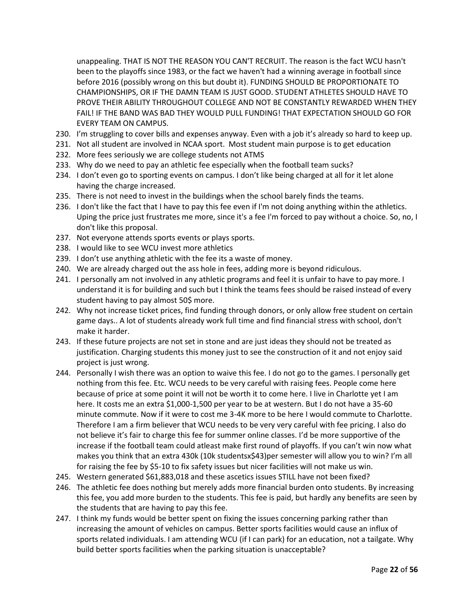unappealing. THAT IS NOT THE REASON YOU CAN'T RECRUIT. The reason is the fact WCU hasn't been to the playoffs since 1983, or the fact we haven't had a winning average in football since before 2016 (possibly wrong on this but doubt it). FUNDING SHOULD BE PROPORTIONATE TO CHAMPIONSHIPS, OR IF THE DAMN TEAM IS JUST GOOD. STUDENT ATHLETES SHOULD HAVE TO PROVE THEIR ABILITY THROUGHOUT COLLEGE AND NOT BE CONSTANTLY REWARDED WHEN THEY FAIL! IF THE BAND WAS BAD THEY WOULD PULL FUNDING! THAT EXPECTATION SHOULD GO FOR EVERY TEAM ON CAMPUS.

- 230. I'm struggling to cover bills and expenses anyway. Even with a job it's already so hard to keep up.
- 231. Not all student are involved in NCAA sport. Most student main purpose is to get education
- 232. More fees seriously we are college students not ATMS
- 233. Why do we need to pay an athletic fee especially when the football team sucks?
- 234. I don't even go to sporting events on campus. I don't like being charged at all for it let alone having the charge increased.
- 235. There is not need to invest in the buildings when the school barely finds the teams.
- 236. I don't like the fact that I have to pay this fee even if I'm not doing anything within the athletics. Uping the price just frustrates me more, since it's a fee I'm forced to pay without a choice. So, no, I don't like this proposal.
- 237. Not everyone attends sports events or plays sports.
- 238. I would like to see WCU invest more athletics
- 239. I don't use anything athletic with the fee its a waste of money.
- 240. We are already charged out the ass hole in fees, adding more is beyond ridiculous.
- 241. I personally am not involved in any athletic programs and feel it is unfair to have to pay more. I understand it is for building and such but I think the teams fees should be raised instead of every student having to pay almost 50\$ more.
- 242. Why not increase ticket prices, find funding through donors, or only allow free student on certain game days.. A lot of students already work full time and find financial stress with school, don't make it harder.
- 243. If these future projects are not set in stone and are just ideas they should not be treated as justification. Charging students this money just to see the construction of it and not enjoy said project is just wrong.
- 244. Personally I wish there was an option to waive this fee. I do not go to the games. I personally get nothing from this fee. Etc. WCU needs to be very careful with raising fees. People come here because of price at some point it will not be worth it to come here. I live in Charlotte yet I am here. It costs me an extra \$1,000-1,500 per year to be at western. But I do not have a 35-60 minute commute. Now if it were to cost me 3-4K more to be here I would commute to Charlotte. Therefore I am a firm believer that WCU needs to be very very careful with fee pricing. I also do not believe it's fair to charge this fee for summer online classes. I'd be more supportive of the increase if the football team could atleast make first round of playoffs. If you can't win now what makes you think that an extra 430k (10k studentsx\$43)per semester will allow you to win? I'm all for raising the fee by \$5-10 to fix safety issues but nicer facilities will not make us win.
- 245. Western generated \$61,883,018 and these ascetics issues STILL have not been fixed?
- 246. The athletic fee does nothing but merely adds more financial burden onto students. By increasing this fee, you add more burden to the students. This fee is paid, but hardly any benefits are seen by the students that are having to pay this fee.
- 247. I think my funds would be better spent on fixing the issues concerning parking rather than increasing the amount of vehicles on campus. Better sports facilities would cause an influx of sports related individuals. I am attending WCU (if I can park) for an education, not a tailgate. Why build better sports facilities when the parking situation is unacceptable?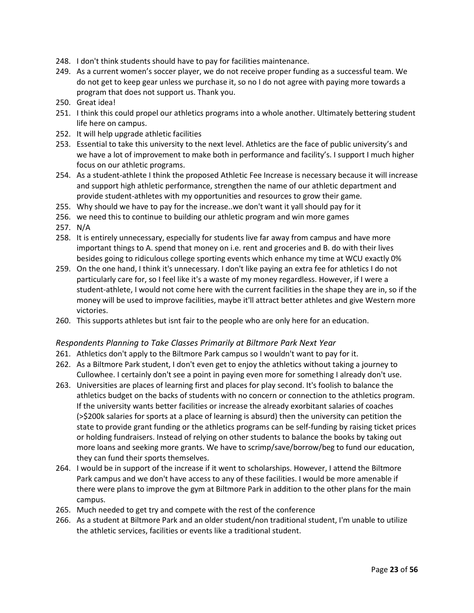- 248. I don't think students should have to pay for facilities maintenance.
- 249. As a current women's soccer player, we do not receive proper funding as a successful team. We do not get to keep gear unless we purchase it, so no I do not agree with paying more towards a program that does not support us. Thank you.
- 250. Great idea!
- 251. I think this could propel our athletics programs into a whole another. Ultimately bettering student life here on campus.
- 252. It will help upgrade athletic facilities
- 253. Essential to take this university to the next level. Athletics are the face of public university's and we have a lot of improvement to make both in performance and facility's. I support I much higher focus on our athletic programs.
- 254. As a student-athlete I think the proposed Athletic Fee Increase is necessary because it will increase and support high athletic performance, strengthen the name of our athletic department and provide student-athletes with my opportunities and resources to grow their game.
- 255. Why should we have to pay for the increase..we don't want it yall should pay for it
- 256. we need this to continue to building our athletic program and win more games
- 257. N/A
- 258. It is entirely unnecessary, especially for students live far away from campus and have more important things to A. spend that money on i.e. rent and groceries and B. do with their lives besides going to ridiculous college sporting events which enhance my time at WCU exactly 0%
- 259. On the one hand, I think it's unnecessary. I don't like paying an extra fee for athletics I do not particularly care for, so I feel like it's a waste of my money regardless. However, if I were a student-athlete, I would not come here with the current facilities in the shape they are in, so if the money will be used to improve facilities, maybe it'll attract better athletes and give Western more victories.
- 260. This supports athletes but isnt fair to the people who are only here for an education.

#### <span id="page-22-0"></span>*Respondents Planning to Take Classes Primarily at Biltmore Park Next Year*

- 261. Athletics don't apply to the Biltmore Park campus so I wouldn't want to pay for it.
- 262. As a Biltmore Park student, I don't even get to enjoy the athletics without taking a journey to Cullowhee. I certainly don't see a point in paying even more for something I already don't use.
- 263. Universities are places of learning first and places for play second. It's foolish to balance the athletics budget on the backs of students with no concern or connection to the athletics program. If the university wants better facilities or increase the already exorbitant salaries of coaches (>\$200k salaries for sports at a place of learning is absurd) then the university can petition the state to provide grant funding or the athletics programs can be self-funding by raising ticket prices or holding fundraisers. Instead of relying on other students to balance the books by taking out more loans and seeking more grants. We have to scrimp/save/borrow/beg to fund our education, they can fund their sports themselves.
- 264. I would be in support of the increase if it went to scholarships. However, I attend the Biltmore Park campus and we don't have access to any of these facilities. I would be more amenable if there were plans to improve the gym at Biltmore Park in addition to the other plans for the main campus.
- 265. Much needed to get try and compete with the rest of the conference
- 266. As a student at Biltmore Park and an older student/non traditional student, I'm unable to utilize the athletic services, facilities or events like a traditional student.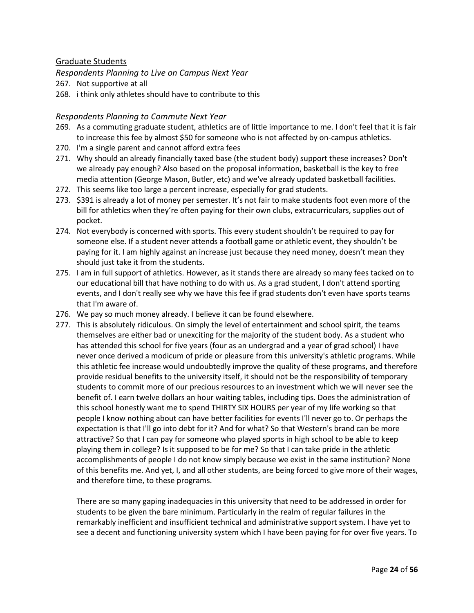## Graduate Students

<span id="page-23-0"></span>*Respondents Planning to Live on Campus Next Year*

- 267. Not supportive at all
- 268. i think only athletes should have to contribute to this

#### <span id="page-23-1"></span>*Respondents Planning to Commute Next Year*

- 269. As a commuting graduate student, athletics are of little importance to me. I don't feel that it is fair to increase this fee by almost \$50 for someone who is not affected by on-campus athletics.
- 270. I'm a single parent and cannot afford extra fees
- 271. Why should an already financially taxed base (the student body) support these increases? Don't we already pay enough? Also based on the proposal information, basketball is the key to free media attention (George Mason, Butler, etc) and we've already updated basketball facilities.
- 272. This seems like too large a percent increase, especially for grad students.
- 273. \$391 is already a lot of money per semester. It's not fair to make students foot even more of the bill for athletics when they're often paying for their own clubs, extracurriculars, supplies out of pocket.
- 274. Not everybody is concerned with sports. This every student shouldn't be required to pay for someone else. If a student never attends a football game or athletic event, they shouldn't be paying for it. I am highly against an increase just because they need money, doesn't mean they should just take it from the students.
- 275. I am in full support of athletics. However, as it stands there are already so many fees tacked on to our educational bill that have nothing to do with us. As a grad student, I don't attend sporting events, and I don't really see why we have this fee if grad students don't even have sports teams that I'm aware of.
- 276. We pay so much money already. I believe it can be found elsewhere.
- 277. This is absolutely ridiculous. On simply the level of entertainment and school spirit, the teams themselves are either bad or unexciting for the majority of the student body. As a student who has attended this school for five years (four as an undergrad and a year of grad school) I have never once derived a modicum of pride or pleasure from this university's athletic programs. While this athletic fee increase would undoubtedly improve the quality of these programs, and therefore provide residual benefits to the university itself, it should not be the responsibility of temporary students to commit more of our precious resources to an investment which we will never see the benefit of. I earn twelve dollars an hour waiting tables, including tips. Does the administration of this school honestly want me to spend THIRTY SIX HOURS per year of my life working so that people I know nothing about can have better facilities for events I'll never go to. Or perhaps the expectation is that I'll go into debt for it? And for what? So that Western's brand can be more attractive? So that I can pay for someone who played sports in high school to be able to keep playing them in college? Is it supposed to be for me? So that I can take pride in the athletic accomplishments of people I do not know simply because we exist in the same institution? None of this benefits me. And yet, I, and all other students, are being forced to give more of their wages, and therefore time, to these programs.

There are so many gaping inadequacies in this university that need to be addressed in order for students to be given the bare minimum. Particularly in the realm of regular failures in the remarkably inefficient and insufficient technical and administrative support system. I have yet to see a decent and functioning university system which I have been paying for for over five years. To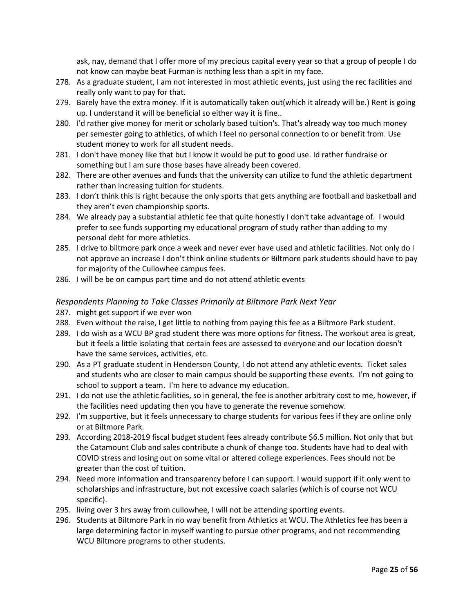ask, nay, demand that I offer more of my precious capital every year so that a group of people I do not know can maybe beat Furman is nothing less than a spit in my face.

- 278. As a graduate student, I am not interested in most athletic events, just using the rec facilities and really only want to pay for that.
- 279. Barely have the extra money. If it is automatically taken out(which it already will be.) Rent is going up. I understand it will be beneficial so either way it is fine..
- 280. I'd rather give money for merit or scholarly based tuition's. That's already way too much money per semester going to athletics, of which I feel no personal connection to or benefit from. Use student money to work for all student needs.
- 281. I don't have money like that but I know it would be put to good use. Id rather fundraise or something but I am sure those bases have already been covered.
- 282. There are other avenues and funds that the university can utilize to fund the athletic department rather than increasing tuition for students.
- 283. I don't think this is right because the only sports that gets anything are football and basketball and they aren't even championship sports.
- 284. We already pay a substantial athletic fee that quite honestly I don't take advantage of. I would prefer to see funds supporting my educational program of study rather than adding to my personal debt for more athletics.
- 285. I drive to biltmore park once a week and never ever have used and athletic facilities. Not only do I not approve an increase I don't think online students or Biltmore park students should have to pay for majority of the Cullowhee campus fees.
- 286. I will be be on campus part time and do not attend athletic events

#### <span id="page-24-0"></span>*Respondents Planning to Take Classes Primarily at Biltmore Park Next Year*

- 287. might get support if we ever won
- 288. Even without the raise, I get little to nothing from paying this fee as a Biltmore Park student.
- 289. I do wish as a WCU BP grad student there was more options for fitness. The workout area is great, but it feels a little isolating that certain fees are assessed to everyone and our location doesn't have the same services, activities, etc.
- 290. As a PT graduate student in Henderson County, I do not attend any athletic events. Ticket sales and students who are closer to main campus should be supporting these events. I'm not going to school to support a team. I'm here to advance my education.
- 291. I do not use the athletic facilities, so in general, the fee is another arbitrary cost to me, however, if the facilities need updating then you have to generate the revenue somehow.
- 292. I'm supportive, but it feels unnecessary to charge students for various fees if they are online only or at Biltmore Park.
- 293. According 2018-2019 fiscal budget student fees already contribute \$6.5 million. Not only that but the Catamount Club and sales contribute a chunk of change too. Students have had to deal with COVID stress and losing out on some vital or altered college experiences. Fees should not be greater than the cost of tuition.
- 294. Need more information and transparency before I can support. I would support if it only went to scholarships and infrastructure, but not excessive coach salaries (which is of course not WCU specific).
- 295. living over 3 hrs away from cullowhee, I will not be attending sporting events.
- 296. Students at Biltmore Park in no way benefit from Athletics at WCU. The Athletics fee has been a large determining factor in myself wanting to pursue other programs, and not recommending WCU Biltmore programs to other students.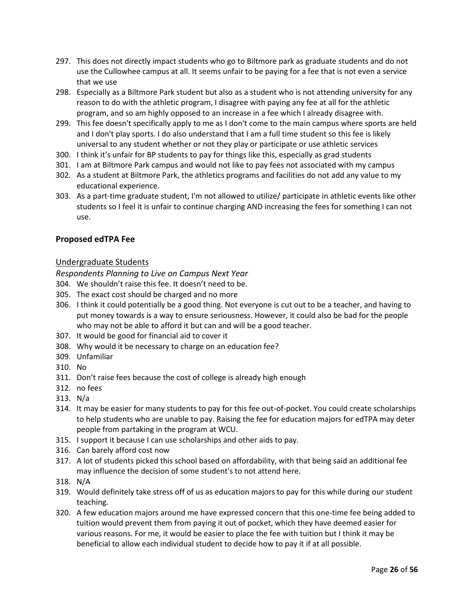- 297. This does not directly impact students who go to Biltmore park as graduate students and do not use the Cullowhee campus at all. It seems unfair to be paying for a fee that is not even a service that we use
- 298. Especially as a Biltmore Park student but also as a student who is not attending university for any reason to do with the athletic program, I disagree with paying any fee at all for the athletic program, and so am highly opposed to an increase in a fee which I already disagree with.
- 299. This fee doesn't specifically apply to me as I don't come to the main campus where sports are held and I don't play sports. I do also understand that I am a full time student so this fee is likely universal to any student whether or not they play or participate or use athletic services
- 300. I think it's unfair for BP students to pay for things like this, especially as grad students
- 301. I am at Biltmore Park campus and would not like to pay fees not associated with my campus
- 302. As a student at Biltmore Park, the athletics programs and facilities do not add any value to my educational experience.
- 303. As a part-time graduate student, I'm not allowed to utilize/ participate in athletic events like other students so I feel it is unfair to continue charging AND increasing the fees for something I can not use.

#### **Proposed edTPA Fee**

#### Undergraduate Students

<span id="page-25-0"></span>*Respondents Planning to Live on Campus Next Year*

- 304. We shouldn't raise this fee. It doesn't need to be.
- 305. The exact cost should be charged and no more
- 306. I think it could potentially be a good thing. Not everyone is cut out to be a teacher, and having to put money towards is a way to ensure seriousness. However, it could also be bad for the people who may not be able to afford it but can and will be a good teacher.
- 307. It would be good for financial aid to cover it
- 308. Why would it be necessary to charge on an education fee?
- 309. Unfamiliar
- 310. No
- 311. Don't raise fees because the cost of college is already high enough
- 312. no fees
- 313. N/a
- 314. It may be easier for many students to pay for this fee out-of-pocket. You could create scholarships to help students who are unable to pay. Raising the fee for education majors for edTPA may deter people from partaking in the program at WCU.
- 315. I support it because I can use scholarships and other aids to pay.
- 316. Can barely afford cost now
- 317. A lot of students picked this school based on affordability, with that being said an additional fee may influence the decision of some student's to not attend here.
- 318. N/A
- 319. Would definitely take stress off of us as education majors to pay for this while during our student teaching.
- 320. A few education majors around me have expressed concern that this one-time fee being added to tuition would prevent them from paying it out of pocket, which they have deemed easier for various reasons. For me, it would be easier to place the fee with tuition but I think it may be beneficial to allow each individual student to decide how to pay it if at all possible.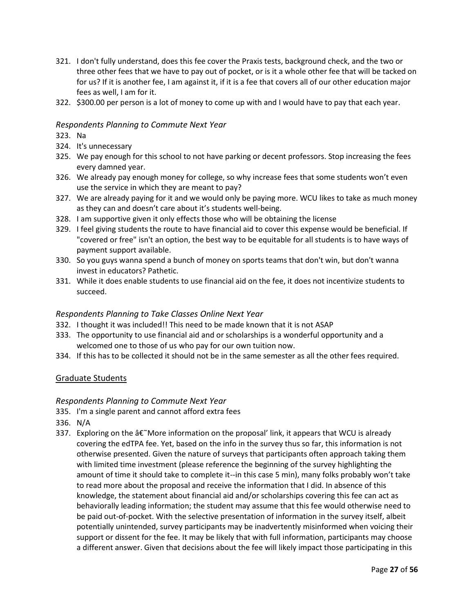- 321. I don't fully understand, does this fee cover the Praxis tests, background check, and the two or three other fees that we have to pay out of pocket, or is it a whole other fee that will be tacked on for us? If it is another fee, I am against it, if it is a fee that covers all of our other education major fees as well, I am for it.
- 322. \$300.00 per person is a lot of money to come up with and I would have to pay that each year.

## <span id="page-26-0"></span>*Respondents Planning to Commute Next Year*

323. Na

- 324. It's unnecessary
- 325. We pay enough for this school to not have parking or decent professors. Stop increasing the fees every damned year.
- 326. We already pay enough money for college, so why increase fees that some students won't even use the service in which they are meant to pay?
- 327. We are already paying for it and we would only be paying more. WCU likes to take as much money as they can and doesn't care about it's students well-being.
- 328. I am supportive given it only effects those who will be obtaining the license
- 329. I feel giving students the route to have financial aid to cover this expense would be beneficial. If "covered or free" isn't an option, the best way to be equitable for all students is to have ways of payment support available.
- 330. So you guys wanna spend a bunch of money on sports teams that don't win, but don't wanna invest in educators? Pathetic.
- 331. While it does enable students to use financial aid on the fee, it does not incentivize students to succeed.

#### *Respondents Planning to Take Classes Online Next Year*

- 332. I thought it was included!! This need to be made known that it is not ASAP
- 333. The opportunity to use financial aid and or scholarships is a wonderful opportunity and a welcomed one to those of us who pay for our own tuition now.
- 334. If this has to be collected it should not be in the same semester as all the other fees required.

#### Graduate Students

#### <span id="page-26-1"></span>*Respondents Planning to Commute Next Year*

- 335. I'm a single parent and cannot afford extra fees
- 336. N/A
- 337. Exploring on the  $\hat{\sigma} \in \tilde{M}$  More information on the proposal' link, it appears that WCU is already covering the edTPA fee. Yet, based on the info in the survey thus so far, this information is not otherwise presented. Given the nature of surveys that participants often approach taking them with limited time investment (please reference the beginning of the survey highlighting the amount of time it should take to complete it--in this case 5 min), many folks probably won't take to read more about the proposal and receive the information that I did. In absence of this knowledge, the statement about financial aid and/or scholarships covering this fee can act as behaviorally leading information; the student may assume that this fee would otherwise need to be paid out-of-pocket. With the selective presentation of information in the survey itself, albeit potentially unintended, survey participants may be inadvertently misinformed when voicing their support or dissent for the fee. It may be likely that with full information, participants may choose a different answer. Given that decisions about the fee will likely impact those participating in this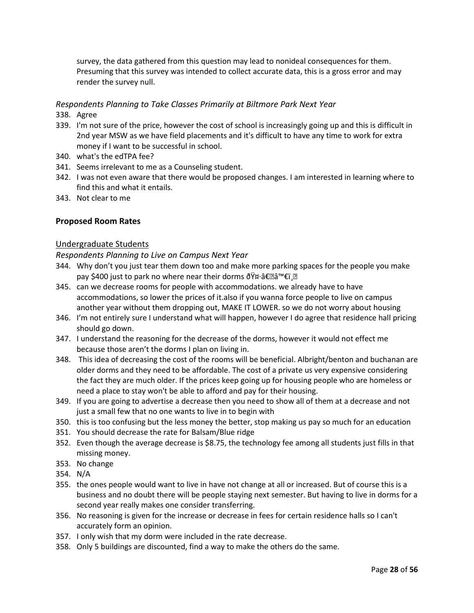survey, the data gathered from this question may lead to nonideal consequences for them. Presuming that this survey was intended to collect accurate data, this is a gross error and may render the survey null.

## <span id="page-27-0"></span>*Respondents Planning to Take Classes Primarily at Biltmore Park Next Year*

- 338. Agree
- 339. I'm not sure of the price, however the cost of school is increasingly going up and this is difficult in 2nd year MSW as we have field placements and it's difficult to have any time to work for extra money if I want to be successful in school.
- 340. what's the edTPA fee?
- 341. Seems irrelevant to me as a Counseling student.
- 342. I was not even aware that there would be proposed changes. I am interested in learning where to find this and what it entails.
- 343. Not clear to me

#### **Proposed Room Rates**

#### Undergraduate Students

<span id="page-27-1"></span>*Respondents Planning to Live on Campus Next Year*

- 344. Why don't you just tear them down too and make more parking spaces for the people you make pay \$400 just to park no where near their dorms ðŸ¤∙â€ $\mathbb{E}$ ♀ï¸ $\mathbb{E}$
- 345. can we decrease rooms for people with accommodations. we already have to have accommodations, so lower the prices of it.also if you wanna force people to live on campus another year without them dropping out, MAKE IT LOWER. so we do not worry about housing
- 346. I'm not entirely sure I understand what will happen, however I do agree that residence hall pricing should go down.
- 347. I understand the reasoning for the decrease of the dorms, however it would not effect me because those aren't the dorms I plan on living in.
- 348. This idea of decreasing the cost of the rooms will be beneficial. Albright/benton and buchanan are older dorms and they need to be affordable. The cost of a private us very expensive considering the fact they are much older. If the prices keep going up for housing people who are homeless or need a place to stay won't be able to afford and pay for their housing.
- 349. If you are going to advertise a decrease then you need to show all of them at a decrease and not just a small few that no one wants to live in to begin with
- 350. this is too confusing but the less money the better, stop making us pay so much for an education
- 351. You should decrease the rate for Balsam/Blue ridge
- 352. Even though the average decrease is \$8.75, the technology fee among all students just fills in that missing money.
- 353. No change
- 354. N/A
- 355. the ones people would want to live in have not change at all or increased. But of course this is a business and no doubt there will be people staying next semester. But having to live in dorms for a second year really makes one consider transferring.
- 356. No reasoning is given for the increase or decrease in fees for certain residence halls so I can't accurately form an opinion.
- 357. I only wish that my dorm were included in the rate decrease.
- 358. Only 5 buildings are discounted, find a way to make the others do the same.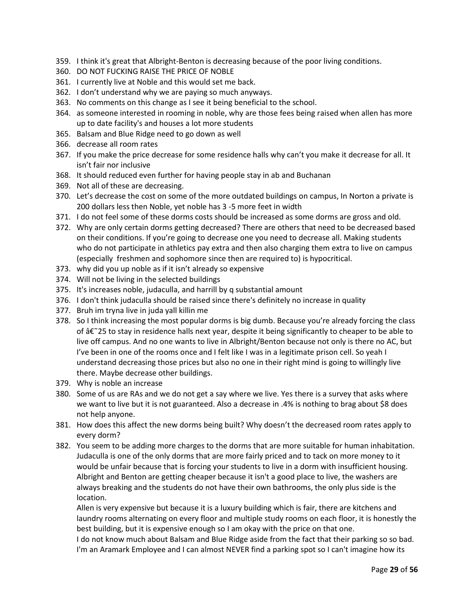- 359. I think it's great that Albright-Benton is decreasing because of the poor living conditions.
- 360. DO NOT FUCKING RAISE THE PRICE OF NOBLE
- 361. I currently live at Noble and this would set me back.
- 362. I don't understand why we are paying so much anyways.
- 363. No comments on this change as I see it being beneficial to the school.
- 364. as someone interested in rooming in noble, why are those fees being raised when allen has more up to date facility's and houses a lot more students
- 365. Balsam and Blue Ridge need to go down as well
- 366. decrease all room rates
- 367. If you make the price decrease for some residence halls why can't you make it decrease for all. It isn't fair nor inclusive
- 368. It should reduced even further for having people stay in ab and Buchanan
- 369. Not all of these are decreasing.
- 370. Let's decrease the cost on some of the more outdated buildings on campus, In Norton a private is 200 dollars less then Noble, yet noble has 3 -5 more feet in width
- 371. I do not feel some of these dorms costs should be increased as some dorms are gross and old.
- 372. Why are only certain dorms getting decreased? There are others that need to be decreased based on their conditions. If you're going to decrease one you need to decrease all. Making students who do not participate in athletics pay extra and then also charging them extra to live on campus (especially freshmen and sophomore since then are required to) is hypocritical.
- 373. why did you up noble as if it isn't already so expensive
- 374. Will not be living in the selected buildings
- 375. It's increases noble, judaculla, and harrill by q substantial amount
- 376. I don't think judaculla should be raised since there's definitely no increase in quality
- 377. Bruh im tryna live in juda yall killin me
- 378. So I think increasing the most popular dorms is big dumb. Because you're already forcing the class of  $\hat{a}\hat{\epsilon}$  25 to stay in residence halls next year, despite it being significantly to cheaper to be able to live off campus. And no one wants to live in Albright/Benton because not only is there no AC, but I've been in one of the rooms once and I felt like I was in a legitimate prison cell. So yeah I understand decreasing those prices but also no one in their right mind is going to willingly live there. Maybe decrease other buildings.
- 379. Why is noble an increase
- 380. Some of us are RAs and we do not get a say where we live. Yes there is a survey that asks where we want to live but it is not guaranteed. Also a decrease in .4% is nothing to brag about \$8 does not help anyone.
- 381. How does this affect the new dorms being built? Why doesn't the decreased room rates apply to every dorm?
- 382. You seem to be adding more charges to the dorms that are more suitable for human inhabitation. Judaculla is one of the only dorms that are more fairly priced and to tack on more money to it would be unfair because that is forcing your students to live in a dorm with insufficient housing. Albright and Benton are getting cheaper because it isn't a good place to live, the washers are always breaking and the students do not have their own bathrooms, the only plus side is the location.

Allen is very expensive but because it is a luxury building which is fair, there are kitchens and laundry rooms alternating on every floor and multiple study rooms on each floor, it is honestly the best building, but it is expensive enough so I am okay with the price on that one.

I do not know much about Balsam and Blue Ridge aside from the fact that their parking so so bad. I'm an Aramark Employee and I can almost NEVER find a parking spot so I can't imagine how its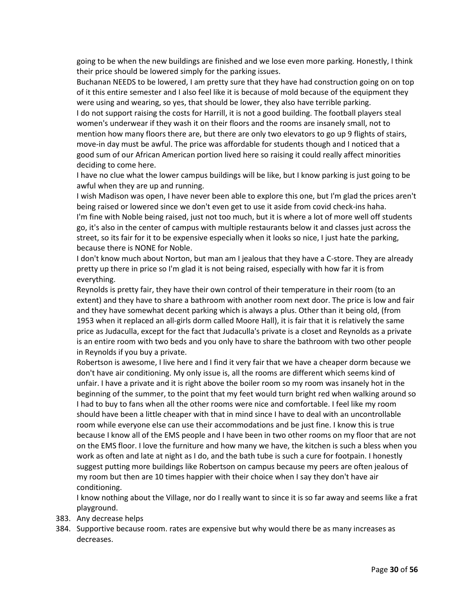going to be when the new buildings are finished and we lose even more parking. Honestly, I think their price should be lowered simply for the parking issues.

Buchanan NEEDS to be lowered, I am pretty sure that they have had construction going on on top of it this entire semester and I also feel like it is because of mold because of the equipment they were using and wearing, so yes, that should be lower, they also have terrible parking.

I do not support raising the costs for Harrill, it is not a good building. The football players steal women's underwear if they wash it on their floors and the rooms are insanely small, not to mention how many floors there are, but there are only two elevators to go up 9 flights of stairs, move-in day must be awful. The price was affordable for students though and I noticed that a good sum of our African American portion lived here so raising it could really affect minorities deciding to come here.

I have no clue what the lower campus buildings will be like, but I know parking is just going to be awful when they are up and running.

I wish Madison was open, I have never been able to explore this one, but I'm glad the prices aren't being raised or lowered since we don't even get to use it aside from covid check-ins haha. I'm fine with Noble being raised, just not too much, but it is where a lot of more well off students go, it's also in the center of campus with multiple restaurants below it and classes just across the street, so its fair for it to be expensive especially when it looks so nice, I just hate the parking, because there is NONE for Noble.

I don't know much about Norton, but man am I jealous that they have a C-store. They are already pretty up there in price so I'm glad it is not being raised, especially with how far it is from everything.

Reynolds is pretty fair, they have their own control of their temperature in their room (to an extent) and they have to share a bathroom with another room next door. The price is low and fair and they have somewhat decent parking which is always a plus. Other than it being old, (from 1953 when it replaced an all-girls dorm called Moore Hall), it is fair that it is relatively the same price as Judaculla, except for the fact that Judaculla's private is a closet and Reynolds as a private is an entire room with two beds and you only have to share the bathroom with two other people in Reynolds if you buy a private.

Robertson is awesome, I live here and I find it very fair that we have a cheaper dorm because we don't have air conditioning. My only issue is, all the rooms are different which seems kind of unfair. I have a private and it is right above the boiler room so my room was insanely hot in the beginning of the summer, to the point that my feet would turn bright red when walking around so I had to buy to fans when all the other rooms were nice and comfortable. I feel like my room should have been a little cheaper with that in mind since I have to deal with an uncontrollable room while everyone else can use their accommodations and be just fine. I know this is true because I know all of the EMS people and I have been in two other rooms on my floor that are not on the EMS floor. I love the furniture and how many we have, the kitchen is such a bless when you work as often and late at night as I do, and the bath tube is such a cure for footpain. I honestly suggest putting more buildings like Robertson on campus because my peers are often jealous of my room but then are 10 times happier with their choice when I say they don't have air conditioning.

I know nothing about the Village, nor do I really want to since it is so far away and seems like a frat playground.

- 383. Any decrease helps
- 384. Supportive because room. rates are expensive but why would there be as many increases as decreases.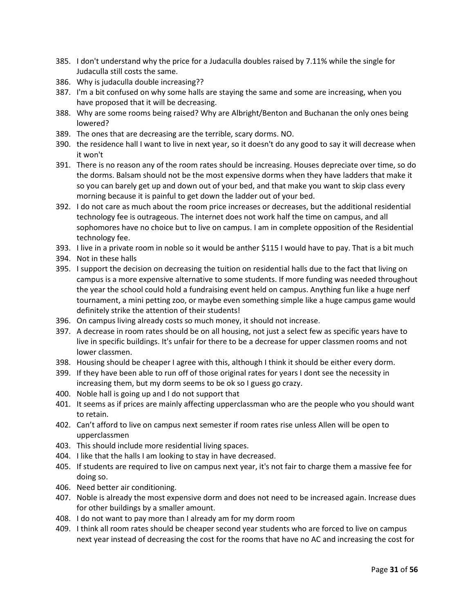- 385. I don't understand why the price for a Judaculla doubles raised by 7.11% while the single for Judaculla still costs the same.
- 386. Why is judaculla double increasing??
- 387. I'm a bit confused on why some halls are staying the same and some are increasing, when you have proposed that it will be decreasing.
- 388. Why are some rooms being raised? Why are Albright/Benton and Buchanan the only ones being lowered?
- 389. The ones that are decreasing are the terrible, scary dorms. NO.
- 390. the residence hall I want to live in next year, so it doesn't do any good to say it will decrease when it won't
- 391. There is no reason any of the room rates should be increasing. Houses depreciate over time, so do the dorms. Balsam should not be the most expensive dorms when they have ladders that make it so you can barely get up and down out of your bed, and that make you want to skip class every morning because it is painful to get down the ladder out of your bed.
- 392. I do not care as much about the room price increases or decreases, but the additional residential technology fee is outrageous. The internet does not work half the time on campus, and all sophomores have no choice but to live on campus. I am in complete opposition of the Residential technology fee.
- 393. I live in a private room in noble so it would be anther \$115 I would have to pay. That is a bit much
- 394. Not in these halls
- 395. I support the decision on decreasing the tuition on residential halls due to the fact that living on campus is a more expensive alternative to some students. If more funding was needed throughout the year the school could hold a fundraising event held on campus. Anything fun like a huge nerf tournament, a mini petting zoo, or maybe even something simple like a huge campus game would definitely strike the attention of their students!
- 396. On campus living already costs so much money, it should not increase.
- 397. A decrease in room rates should be on all housing, not just a select few as specific years have to live in specific buildings. It's unfair for there to be a decrease for upper classmen rooms and not lower classmen.
- 398. Housing should be cheaper I agree with this, although I think it should be either every dorm.
- 399. If they have been able to run off of those original rates for years I dont see the necessity in increasing them, but my dorm seems to be ok so I guess go crazy.
- 400. Noble hall is going up and I do not support that
- 401. It seems as if prices are mainly affecting upperclassman who are the people who you should want to retain.
- 402. Can't afford to live on campus next semester if room rates rise unless Allen will be open to upperclassmen
- 403. This should include more residential living spaces.
- 404. I like that the halls I am looking to stay in have decreased.
- 405. If students are required to live on campus next year, it's not fair to charge them a massive fee for doing so.
- 406. Need better air conditioning.
- 407. Noble is already the most expensive dorm and does not need to be increased again. Increase dues for other buildings by a smaller amount.
- 408. I do not want to pay more than I already am for my dorm room
- 409. I think all room rates should be cheaper second year students who are forced to live on campus next year instead of decreasing the cost for the rooms that have no AC and increasing the cost for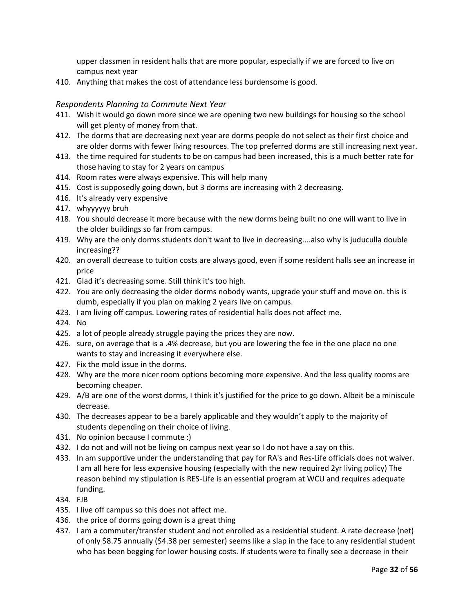upper classmen in resident halls that are more popular, especially if we are forced to live on campus next year

410. Anything that makes the cost of attendance less burdensome is good.

#### <span id="page-31-0"></span>*Respondents Planning to Commute Next Year*

- 411. Wish it would go down more since we are opening two new buildings for housing so the school will get plenty of money from that.
- 412. The dorms that are decreasing next year are dorms people do not select as their first choice and are older dorms with fewer living resources. The top preferred dorms are still increasing next year.
- 413. the time required for students to be on campus had been increased, this is a much better rate for those having to stay for 2 years on campus
- 414. Room rates were always expensive. This will help many
- 415. Cost is supposedly going down, but 3 dorms are increasing with 2 decreasing.
- 416. It's already very expensive
- 417. whyyyyyy bruh
- 418. You should decrease it more because with the new dorms being built no one will want to live in the older buildings so far from campus.
- 419. Why are the only dorms students don't want to live in decreasing....also why is juduculla double increasing??
- 420. an overall decrease to tuition costs are always good, even if some resident halls see an increase in price
- 421. Glad it's decreasing some. Still think it's too high.
- 422. You are only decreasing the older dorms nobody wants, upgrade your stuff and move on. this is dumb, especially if you plan on making 2 years live on campus.
- 423. I am living off campus. Lowering rates of residential halls does not affect me.
- 424. No
- 425. a lot of people already struggle paying the prices they are now.
- 426. sure, on average that is a .4% decrease, but you are lowering the fee in the one place no one wants to stay and increasing it everywhere else.
- 427. Fix the mold issue in the dorms.
- 428. Why are the more nicer room options becoming more expensive. And the less quality rooms are becoming cheaper.
- 429. A/B are one of the worst dorms, I think it's justified for the price to go down. Albeit be a miniscule decrease.
- 430. The decreases appear to be a barely applicable and they wouldn't apply to the majority of students depending on their choice of living.
- 431. No opinion because I commute :)
- 432. I do not and will not be living on campus next year so I do not have a say on this.
- 433. In am supportive under the understanding that pay for RA's and Res-Life officials does not waiver. I am all here for less expensive housing (especially with the new required 2yr living policy) The reason behind my stipulation is RES-Life is an essential program at WCU and requires adequate funding.
- 434. FJB
- 435. I live off campus so this does not affect me.
- 436. the price of dorms going down is a great thing
- 437. I am a commuter/transfer student and not enrolled as a residential student. A rate decrease (net) of only \$8.75 annually (\$4.38 per semester) seems like a slap in the face to any residential student who has been begging for lower housing costs. If students were to finally see a decrease in their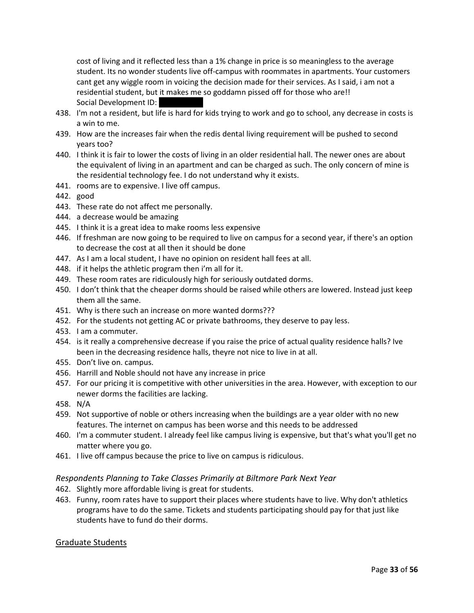cost of living and it reflected less than a 1% change in price is so meaningless to the average student. Its no wonder students live off-campus with roommates in apartments. Your customers cant get any wiggle room in voicing the decision made for their services. As I said, i am not a residential student, but it makes me so goddamn pissed off for those who are!! Social Development ID:

- 438. I'm not a resident, but life is hard for kids trying to work and go to school, any decrease in costs is a win to me.
- 439. How are the increases fair when the redis dental living requirement will be pushed to second years too?
- 440. I think it is fair to lower the costs of living in an older residential hall. The newer ones are about the equivalent of living in an apartment and can be charged as such. The only concern of mine is the residential technology fee. I do not understand why it exists.
- 441. rooms are to expensive. I live off campus.
- 442. good
- 443. These rate do not affect me personally.
- 444. a decrease would be amazing
- 445. I think it is a great idea to make rooms less expensive
- 446. If freshman are now going to be required to live on campus for a second year, if there's an option to decrease the cost at all then it should be done
- 447. As I am a local student, I have no opinion on resident hall fees at all.
- 448. if it helps the athletic program then i'm all for it.
- 449. These room rates are ridiculously high for seriously outdated dorms.
- 450. I don't think that the cheaper dorms should be raised while others are lowered. Instead just keep them all the same.
- 451. Why is there such an increase on more wanted dorms???
- 452. For the students not getting AC or private bathrooms, they deserve to pay less.
- 453. I am a commuter.
- 454. is it really a comprehensive decrease if you raise the price of actual quality residence halls? Ive been in the decreasing residence halls, theyre not nice to live in at all.
- 455. Don't live on. campus.
- 456. Harrill and Noble should not have any increase in price
- 457. For our pricing it is competitive with other universities in the area. However, with exception to our newer dorms the facilities are lacking.
- 458. N/A
- 459. Not supportive of noble or others increasing when the buildings are a year older with no new features. The internet on campus has been worse and this needs to be addressed
- 460. I'm a commuter student. I already feel like campus living is expensive, but that's what you'll get no matter where you go.
- 461. I live off campus because the price to live on campus is ridiculous.

#### <span id="page-32-0"></span>*Respondents Planning to Take Classes Primarily at Biltmore Park Next Year*

- 462. Slightly more affordable living is great for students.
- 463. Funny, room rates have to support their places where students have to live. Why don't athletics programs have to do the same. Tickets and students participating should pay for that just like students have to fund do their dorms.

#### Graduate Students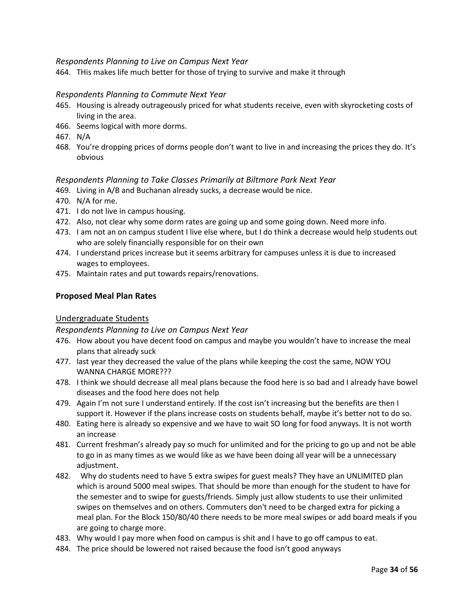#### <span id="page-33-0"></span>*Respondents Planning to Live on Campus Next Year*

464. THis makes life much better for those of trying to survive and make it through

#### *Respondents Planning to Commute Next Year*

- 465. Housing is already outrageously priced for what students receive, even with skyrocketing costs of living in the area.
- 466. Seems logical with more dorms.
- 467. N/A
- 468. You're dropping prices of dorms people don't want to live in and increasing the prices they do. It's obvious

#### <span id="page-33-1"></span>*Respondents Planning to Take Classes Primarily at Biltmore Park Next Year*

- 469. Living in A/B and Buchanan already sucks, a decrease would be nice.
- 470. N/A for me.
- 471. I do not live in campus housing.
- 472. Also, not clear why some dorm rates are going up and some going down. Need more info.
- 473. I am not an on campus student I live else where, but I do think a decrease would help students out who are solely financially responsible for on their own
- 474. I understand prices increase but it seems arbitrary for campuses unless it is due to increased wages to employees.
- 475. Maintain rates and put towards repairs/renovations.

#### **Proposed Meal Plan Rates**

#### Undergraduate Students

<span id="page-33-2"></span>*Respondents Planning to Live on Campus Next Year*

- 476. How about you have decent food on campus and maybe you wouldn't have to increase the meal plans that already suck
- 477. last year they decreased the value of the plans while keeping the cost the same, NOW YOU WANNA CHARGE MORE???
- 478. I think we should decrease all meal plans because the food here is so bad and I already have bowel diseases and the food here does not help
- 479. Again I'm not sure I understand entirely. If the cost isn't increasing but the benefits are then I support it. However if the plans increase costs on students behalf, maybe it's better not to do so.
- 480. Eating here is already so expensive and we have to wait SO long for food anyways. It is not worth an increase
- 481. Current freshman's already pay so much for unlimited and for the pricing to go up and not be able to go in as many times as we would like as we have been doing all year will be a unnecessary adjustment.
- 482. Why do students need to have 5 extra swipes for guest meals? They have an UNLIMITED plan which is around 5000 meal swipes. That should be more than enough for the student to have for the semester and to swipe for guests/friends. Simply just allow students to use their unlimited swipes on themselves and on others. Commuters don't need to be charged extra for picking a meal plan. For the Block 150/80/40 there needs to be more meal swipes or add board meals if you are going to charge more.
- 483. Why would I pay more when food on campus is shit and I have to go off campus to eat.
- 484. The price should be lowered not raised because the food isn't good anyways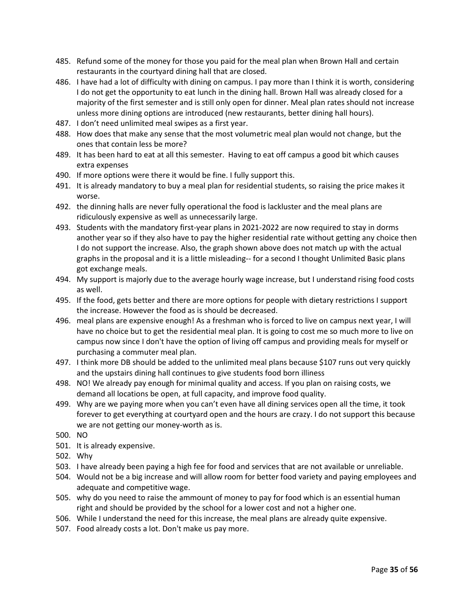- 485. Refund some of the money for those you paid for the meal plan when Brown Hall and certain restaurants in the courtyard dining hall that are closed.
- 486. I have had a lot of difficulty with dining on campus. I pay more than I think it is worth, considering I do not get the opportunity to eat lunch in the dining hall. Brown Hall was already closed for a majority of the first semester and is still only open for dinner. Meal plan rates should not increase unless more dining options are introduced (new restaurants, better dining hall hours).
- 487. I don't need unlimited meal swipes as a first year.
- 488. How does that make any sense that the most volumetric meal plan would not change, but the ones that contain less be more?
- 489. It has been hard to eat at all this semester. Having to eat off campus a good bit which causes extra expenses
- 490. If more options were there it would be fine. I fully support this.
- 491. It is already mandatory to buy a meal plan for residential students, so raising the price makes it worse.
- 492. the dinning halls are never fully operational the food is lackluster and the meal plans are ridiculously expensive as well as unnecessarily large.
- 493. Students with the mandatory first-year plans in 2021-2022 are now required to stay in dorms another year so if they also have to pay the higher residential rate without getting any choice then I do not support the increase. Also, the graph shown above does not match up with the actual graphs in the proposal and it is a little misleading-- for a second I thought Unlimited Basic plans got exchange meals.
- 494. My support is majorly due to the average hourly wage increase, but I understand rising food costs as well.
- 495. If the food, gets better and there are more options for people with dietary restrictions I support the increase. However the food as is should be decreased.
- 496. meal plans are expensive enough! As a freshman who is forced to live on campus next year, I will have no choice but to get the residential meal plan. It is going to cost me so much more to live on campus now since I don't have the option of living off campus and providing meals for myself or purchasing a commuter meal plan.
- 497. I think more DB should be added to the unlimited meal plans because \$107 runs out very quickly and the upstairs dining hall continues to give students food born illiness
- 498. NO! We already pay enough for minimal quality and access. If you plan on raising costs, we demand all locations be open, at full capacity, and improve food quality.
- 499. Why are we paying more when you can't even have all dining services open all the time, it took forever to get everything at courtyard open and the hours are crazy. I do not support this because we are not getting our money-worth as is.
- 500. NO
- 501. It is already expensive.
- 502. Why
- 503. I have already been paying a high fee for food and services that are not available or unreliable.
- 504. Would not be a big increase and will allow room for better food variety and paying employees and adequate and competitive wage.
- 505. why do you need to raise the ammount of money to pay for food which is an essential human right and should be provided by the school for a lower cost and not a higher one.
- 506. While I understand the need for this increase, the meal plans are already quite expensive.
- 507. Food already costs a lot. Don't make us pay more.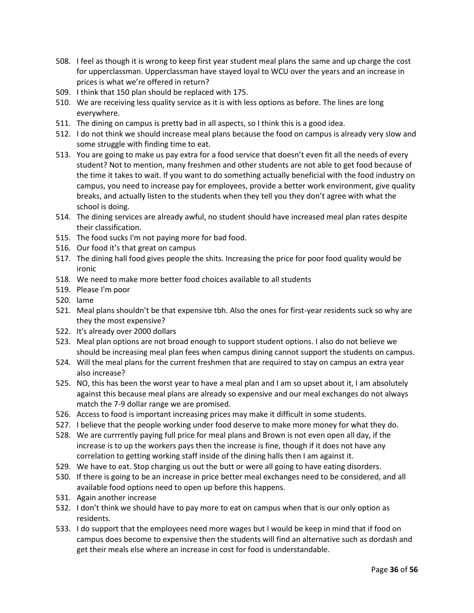- 508. I feel as though it is wrong to keep first year student meal plans the same and up charge the cost for upperclassman. Upperclassman have stayed loyal to WCU over the years and an increase in prices is what we're offered in return?
- 509. I think that 150 plan should be replaced with 175.
- 510. We are receiving less quality service as it is with less options as before. The lines are long everywhere.
- 511. The dining on campus is pretty bad in all aspects, so I think this is a good idea.
- 512. I do not think we should increase meal plans because the food on campus is already very slow and some struggle with finding time to eat.
- 513. You are going to make us pay extra for a food service that doesn't even fit all the needs of every student? Not to mention, many freshmen and other students are not able to get food because of the time it takes to wait. If you want to do something actually beneficial with the food industry on campus, you need to increase pay for employees, provide a better work environment, give quality breaks, and actually listen to the students when they tell you they don't agree with what the school is doing.
- 514. The dining services are already awful, no student should have increased meal plan rates despite their classification.
- 515. The food sucks I'm not paying more for bad food.
- 516. Our food it's that great on campus
- 517. The dining hall food gives people the shits. Increasing the price for poor food quality would be ironic
- 518. We need to make more better food choices available to all students
- 519. Please I'm poor
- 520. lame
- 521. Meal plans shouldn't be that expensive tbh. Also the ones for first-year residents suck so why are they the most expensive?
- 522. It's already over 2000 dollars
- 523. Meal plan options are not broad enough to support student options. I also do not believe we should be increasing meal plan fees when campus dining cannot support the students on campus.
- 524. Will the meal plans for the current freshmen that are required to stay on campus an extra year also increase?
- 525. NO, this has been the worst year to have a meal plan and I am so upset about it, I am absolutely against this because meal plans are already so expensive and our meal exchanges do not always match the 7-9 dollar range we are promised.
- 526. Access to food is important increasing prices may make it difficult in some students.
- 527. I believe that the people working under food deserve to make more money for what they do.
- 528. We are currrently paying full price for meal plans and Brown is not even open all day, if the increase is to up the workers pays then the increase is fine, though if it does not have any correlation to getting working staff inside of the dining halls then I am against it.
- 529. We have to eat. Stop charging us out the butt or were all going to have eating disorders.
- 530. If there is going to be an increase in price better meal exchanges need to be considered, and all available food options need to open up before this happens.
- 531. Again another increase
- 532. I don't think we should have to pay more to eat on campus when that is our only option as residents.
- 533. I do support that the employees need more wages but I would be keep in mind that if food on campus does become to expensive then the students will find an alternative such as dordash and get their meals else where an increase in cost for food is understandable.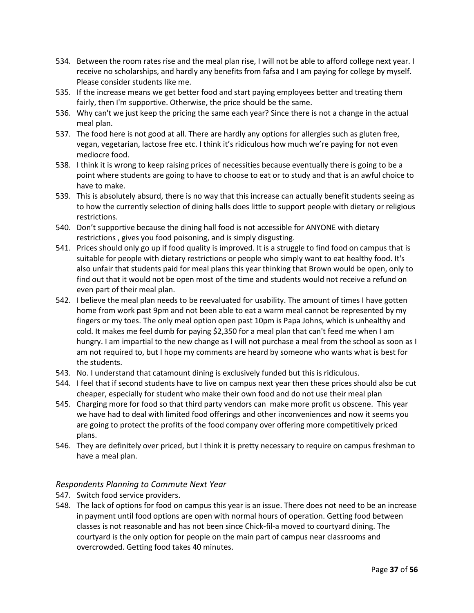- 534. Between the room rates rise and the meal plan rise, I will not be able to afford college next year. I receive no scholarships, and hardly any benefits from fafsa and I am paying for college by myself. Please consider students like me.
- 535. If the increase means we get better food and start paying employees better and treating them fairly, then I'm supportive. Otherwise, the price should be the same.
- 536. Why can't we just keep the pricing the same each year? Since there is not a change in the actual meal plan.
- 537. The food here is not good at all. There are hardly any options for allergies such as gluten free, vegan, vegetarian, lactose free etc. I think it's ridiculous how much we're paying for not even mediocre food.
- 538. I think it is wrong to keep raising prices of necessities because eventually there is going to be a point where students are going to have to choose to eat or to study and that is an awful choice to have to make.
- 539. This is absolutely absurd, there is no way that this increase can actually benefit students seeing as to how the currently selection of dining halls does little to support people with dietary or religious restrictions.
- 540. Don't supportive because the dining hall food is not accessible for ANYONE with dietary restrictions , gives you food poisoning, and is simply disgusting.
- 541. Prices should only go up if food quality is improved. It is a struggle to find food on campus that is suitable for people with dietary restrictions or people who simply want to eat healthy food. It's also unfair that students paid for meal plans this year thinking that Brown would be open, only to find out that it would not be open most of the time and students would not receive a refund on even part of their meal plan.
- 542. I believe the meal plan needs to be reevaluated for usability. The amount of times I have gotten home from work past 9pm and not been able to eat a warm meal cannot be represented by my fingers or my toes. The only meal option open past 10pm is Papa Johns, which is unhealthy and cold. It makes me feel dumb for paying \$2,350 for a meal plan that can't feed me when I am hungry. I am impartial to the new change as I will not purchase a meal from the school as soon as I am not required to, but I hope my comments are heard by someone who wants what is best for the students.
- 543. No. I understand that catamount dining is exclusively funded but this is ridiculous.
- 544. I feel that if second students have to live on campus next year then these prices should also be cut cheaper, especially for student who make their own food and do not use their meal plan
- 545. Charging more for food so that third party vendors can make more profit us obscene. This year we have had to deal with limited food offerings and other inconveniences and now it seems you are going to protect the profits of the food company over offering more competitively priced plans.
- 546. They are definitely over priced, but I think it is pretty necessary to require on campus freshman to have a meal plan.

#### <span id="page-36-0"></span>*Respondents Planning to Commute Next Year*

- 547. Switch food service providers.
- 548. The lack of options for food on campus this year is an issue. There does not need to be an increase in payment until food options are open with normal hours of operation. Getting food between classes is not reasonable and has not been since Chick-fil-a moved to courtyard dining. The courtyard is the only option for people on the main part of campus near classrooms and overcrowded. Getting food takes 40 minutes.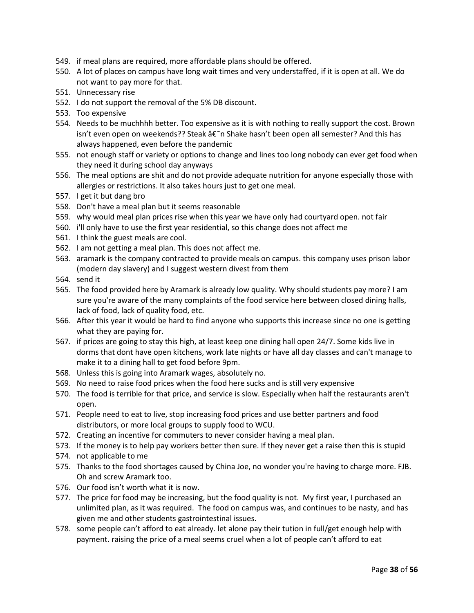- 549. if meal plans are required, more affordable plans should be offered.
- 550. A lot of places on campus have long wait times and very understaffed, if it is open at all. We do not want to pay more for that.
- 551. Unnecessary rise
- 552. I do not support the removal of the 5% DB discount.
- 553. Too expensive
- 554. Needs to be muchhhh better. Too expensive as it is with nothing to really support the cost. Brown isn't even open on weekends?? Steak â€~n Shake hasn't been open all semester? And this has always happened, even before the pandemic
- 555. not enough staff or variety or options to change and lines too long nobody can ever get food when they need it during school day anyways
- 556. The meal options are shit and do not provide adequate nutrition for anyone especially those with allergies or restrictions. It also takes hours just to get one meal.
- 557. I get it but dang bro
- 558. Don't have a meal plan but it seems reasonable
- 559. why would meal plan prices rise when this year we have only had courtyard open. not fair
- 560. i'll only have to use the first year residential, so this change does not affect me
- 561. I think the guest meals are cool.
- 562. I am not getting a meal plan. This does not affect me.
- 563. aramark is the company contracted to provide meals on campus. this company uses prison labor (modern day slavery) and I suggest western divest from them
- 564. send it
- 565. The food provided here by Aramark is already low quality. Why should students pay more? I am sure you're aware of the many complaints of the food service here between closed dining halls, lack of food, lack of quality food, etc.
- 566. After this year it would be hard to find anyone who supports this increase since no one is getting what they are paying for.
- 567. if prices are going to stay this high, at least keep one dining hall open 24/7. Some kids live in dorms that dont have open kitchens, work late nights or have all day classes and can't manage to make it to a dining hall to get food before 9pm.
- 568. Unless this is going into Aramark wages, absolutely no.
- 569. No need to raise food prices when the food here sucks and is still very expensive
- 570. The food is terrible for that price, and service is slow. Especially when half the restaurants aren't open.
- 571. People need to eat to live, stop increasing food prices and use better partners and food distributors, or more local groups to supply food to WCU.
- 572. Creating an incentive for commuters to never consider having a meal plan.
- 573. If the money is to help pay workers better then sure. If they never get a raise then this is stupid
- 574. not applicable to me
- 575. Thanks to the food shortages caused by China Joe, no wonder you're having to charge more. FJB. Oh and screw Aramark too.
- 576. Our food isn't worth what it is now.
- 577. The price for food may be increasing, but the food quality is not. My first year, I purchased an unlimited plan, as it was required. The food on campus was, and continues to be nasty, and has given me and other students gastrointestinal issues.
- 578. some people can't afford to eat already. let alone pay their tution in full/get enough help with payment. raising the price of a meal seems cruel when a lot of people can't afford to eat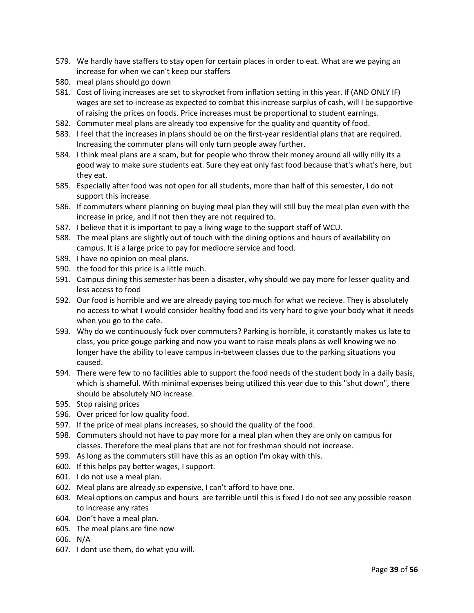- 579. We hardly have staffers to stay open for certain places in order to eat. What are we paying an increase for when we can't keep our staffers
- 580. meal plans should go down
- 581. Cost of living increases are set to skyrocket from inflation setting in this year. If (AND ONLY IF) wages are set to increase as expected to combat this increase surplus of cash, will I be supportive of raising the prices on foods. Price increases must be proportional to student earnings.
- 582. Commuter meal plans are already too expensive for the quality and quantity of food.
- 583. I feel that the increases in plans should be on the first-year residential plans that are required. Increasing the commuter plans will only turn people away further.
- 584. I think meal plans are a scam, but for people who throw their money around all willy nilly its a good way to make sure students eat. Sure they eat only fast food because that's what's here, but they eat.
- 585. Especially after food was not open for all students, more than half of this semester, I do not support this increase.
- 586. If commuters where planning on buying meal plan they will still buy the meal plan even with the increase in price, and if not then they are not required to.
- 587. I believe that it is important to pay a living wage to the support staff of WCU.
- 588. The meal plans are slightly out of touch with the dining options and hours of availability on campus. It is a large price to pay for mediocre service and food.
- 589. I have no opinion on meal plans.
- 590. the food for this price is a little much.
- 591. Campus dining this semester has been a disaster, why should we pay more for lesser quality and less access to food
- 592. Our food is horrible and we are already paying too much for what we recieve. They is absolutely no access to what I would consider healthy food and its very hard to give your body what it needs when you go to the cafe.
- 593. Why do we continuously fuck over commuters? Parking is horrible, it constantly makes us late to class, you price gouge parking and now you want to raise meals plans as well knowing we no longer have the ability to leave campus in-between classes due to the parking situations you caused.
- 594. There were few to no facilities able to support the food needs of the student body in a daily basis, which is shameful. With minimal expenses being utilized this year due to this "shut down", there should be absolutely NO increase.
- 595. Stop raising prices
- 596. Over priced for low quality food.
- 597. If the price of meal plans increases, so should the quality of the food.
- 598. Commuters should not have to pay more for a meal plan when they are only on campus for classes. Therefore the meal plans that are not for freshman should not increase.
- 599. As long as the commuters still have this as an option I'm okay with this.
- 600. If this helps pay better wages, I support.
- 601. I do not use a meal plan.
- 602. Meal plans are already so expensive, I can't afford to have one.
- 603. Meal options on campus and hours are terrible until this is fixed I do not see any possible reason to increase any rates
- 604. Don't have a meal plan.
- 605. The meal plans are fine now
- 606. N/A
- 607. I dont use them, do what you will.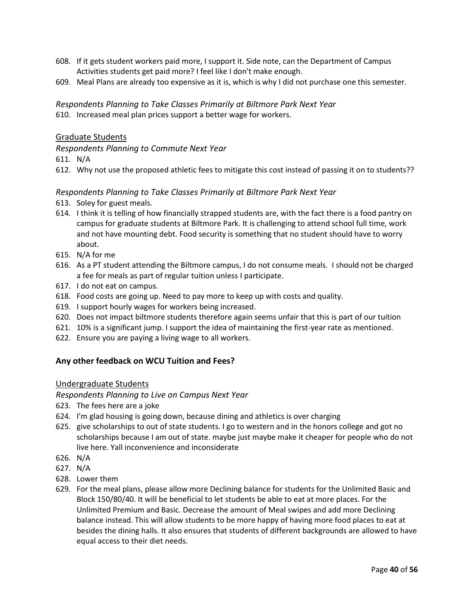- 608. If it gets student workers paid more, I support it. Side note, can the Department of Campus Activities students get paid more? I feel like I don't make enough.
- 609. Meal Plans are already too expensive as it is, which is why I did not purchase one this semester.

<span id="page-39-2"></span>*Respondents Planning to Take Classes Primarily at Biltmore Park Next Year*

610. Increased meal plan prices support a better wage for workers.

#### Graduate Students

<span id="page-39-1"></span>*Respondents Planning to Commute Next Year*

611. N/A

612. Why not use the proposed athletic fees to mitigate this cost instead of passing it on to students??

#### <span id="page-39-0"></span>*Respondents Planning to Take Classes Primarily at Biltmore Park Next Year*

- 613. Soley for guest meals.
- 614. I think it is telling of how financially strapped students are, with the fact there is a food pantry on campus for graduate students at Biltmore Park. It is challenging to attend school full time, work and not have mounting debt. Food security is something that no student should have to worry about.
- 615. N/A for me
- 616. As a PT student attending the Biltmore campus, I do not consume meals. I should not be charged a fee for meals as part of regular tuition unless I participate.
- 617. I do not eat on campus.
- 618. Food costs are going up. Need to pay more to keep up with costs and quality.
- 619. I support hourly wages for workers being increased.
- 620. Does not impact biltmore students therefore again seems unfair that this is part of our tuition
- 621. 10% is a significant jump. I support the idea of maintaining the first-year rate as mentioned.
- 622. Ensure you are paying a living wage to all workers.

## **Any other feedback on WCU Tuition and Fees?**

#### Undergraduate Students

<span id="page-39-3"></span>*Respondents Planning to Live on Campus Next Year*

- <span id="page-39-4"></span>623. The fees here are a joke
- 624. I'm glad housing is going down, because dining and athletics is over charging
- 625. give scholarships to out of state students. I go to western and in the honors college and got no scholarships because I am out of state. maybe just maybe make it cheaper for people who do not live here. Yall inconvenience and inconsiderate
- 626. N/A
- 627. N/A
- 628. Lower them
- 629. For the meal plans, please allow more Declining balance for students for the Unlimited Basic and Block 150/80/40. It will be beneficial to let students be able to eat at more places. For the Unlimited Premium and Basic. Decrease the amount of Meal swipes and add more Declining balance instead. This will allow students to be more happy of having more food places to eat at besides the dining halls. It also ensures that students of different backgrounds are allowed to have equal access to their diet needs.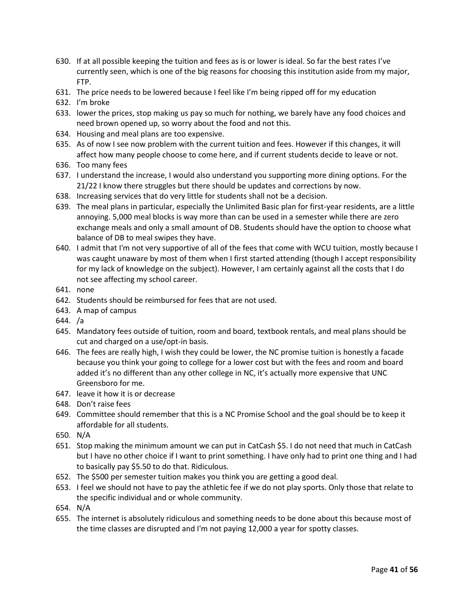- 630. If at all possible keeping the tuition and fees as is or lower is ideal. So far the best rates I've currently seen, which is one of the big reasons for choosing this institution aside from my major, FTP.
- 631. The price needs to be lowered because I feel like I'm being ripped off for my education
- 632. I'm broke
- 633. lower the prices, stop making us pay so much for nothing, we barely have any food choices and need brown opened up, so worry about the food and not this.
- 634. Housing and meal plans are too expensive.
- 635. As of now I see now problem with the current tuition and fees. However if this changes, it will affect how many people choose to come here, and if current students decide to leave or not.
- 636. Too many fees
- 637. I understand the increase, I would also understand you supporting more dining options. For the 21/22 I know there struggles but there should be updates and corrections by now.
- 638. Increasing services that do very little for students shall not be a decision.
- 639. The meal plans in particular, especially the Unlimited Basic plan for first-year residents, are a little annoying. 5,000 meal blocks is way more than can be used in a semester while there are zero exchange meals and only a small amount of DB. Students should have the option to choose what balance of DB to meal swipes they have.
- 640. I admit that I'm not very supportive of all of the fees that come with WCU tuition, mostly because I was caught unaware by most of them when I first started attending (though I accept responsibility for my lack of knowledge on the subject). However, I am certainly against all the costs that I do not see affecting my school career.
- 641. none
- 642. Students should be reimbursed for fees that are not used.
- 643. A map of campus
- 644. /a
- 645. Mandatory fees outside of tuition, room and board, textbook rentals, and meal plans should be cut and charged on a use/opt-in basis.
- 646. The fees are really high, I wish they could be lower, the NC promise tuition is honestly a facade because you think your going to college for a lower cost but with the fees and room and board added it's no different than any other college in NC, it's actually more expensive that UNC Greensboro for me.
- 647. leave it how it is or decrease
- 648. Don't raise fees
- 649. Committee should remember that this is a NC Promise School and the goal should be to keep it affordable for all students.
- 650. N/A
- 651. Stop making the minimum amount we can put in CatCash \$5. I do not need that much in CatCash but I have no other choice if I want to print something. I have only had to print one thing and I had to basically pay \$5.50 to do that. Ridiculous.
- 652. The \$500 per semester tuition makes you think you are getting a good deal.
- 653. I feel we should not have to pay the athletic fee if we do not play sports. Only those that relate to the specific individual and or whole community.
- 654. N/A
- 655. The internet is absolutely ridiculous and something needs to be done about this because most of the time classes are disrupted and I'm not paying 12,000 a year for spotty classes.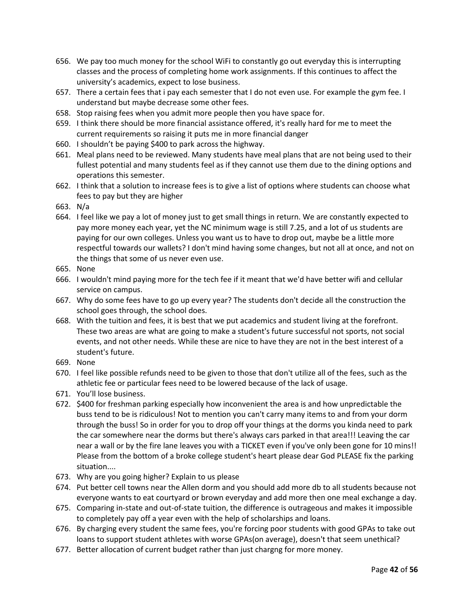- 656. We pay too much money for the school WiFi to constantly go out everyday this is interrupting classes and the process of completing home work assignments. If this continues to affect the university's academics, expect to lose business.
- 657. There a certain fees that i pay each semester that I do not even use. For example the gym fee. I understand but maybe decrease some other fees.
- 658. Stop raising fees when you admit more people then you have space for.
- 659. I think there should be more financial assistance offered, it's really hard for me to meet the current requirements so raising it puts me in more financial danger
- 660. I shouldn't be paying \$400 to park across the highway.
- 661. Meal plans need to be reviewed. Many students have meal plans that are not being used to their fullest potential and many students feel as if they cannot use them due to the dining options and operations this semester.
- 662. I think that a solution to increase fees is to give a list of options where students can choose what fees to pay but they are higher
- 663. N/a
- 664. I feel like we pay a lot of money just to get small things in return. We are constantly expected to pay more money each year, yet the NC minimum wage is still 7.25, and a lot of us students are paying for our own colleges. Unless you want us to have to drop out, maybe be a little more respectful towards our wallets? I don't mind having some changes, but not all at once, and not on the things that some of us never even use.
- 665. None
- 666. I wouldn't mind paying more for the tech fee if it meant that we'd have better wifi and cellular service on campus.
- 667. Why do some fees have to go up every year? The students don't decide all the construction the school goes through, the school does.
- 668. With the tuition and fees, it is best that we put academics and student living at the forefront. These two areas are what are going to make a student's future successful not sports, not social events, and not other needs. While these are nice to have they are not in the best interest of a student's future.
- 669. None
- 670. I feel like possible refunds need to be given to those that don't utilize all of the fees, such as the athletic fee or particular fees need to be lowered because of the lack of usage.
- 671. You'll lose business.
- 672. \$400 for freshman parking especially how inconvenient the area is and how unpredictable the buss tend to be is ridiculous! Not to mention you can't carry many items to and from your dorm through the buss! So in order for you to drop off your things at the dorms you kinda need to park the car somewhere near the dorms but there's always cars parked in that area!!! Leaving the car near a wall or by the fire lane leaves you with a TICKET even if you've only been gone for 10 mins!! Please from the bottom of a broke college student's heart please dear God PLEASE fix the parking situation....
- 673. Why are you going higher? Explain to us please
- 674. Put better cell towns near the Allen dorm and you should add more db to all students because not everyone wants to eat courtyard or brown everyday and add more then one meal exchange a day.
- 675. Comparing in-state and out-of-state tuition, the difference is outrageous and makes it impossible to completely pay off a year even with the help of scholarships and loans.
- 676. By charging every student the same fees, you're forcing poor students with good GPAs to take out loans to support student athletes with worse GPAs(on average), doesn't that seem unethical?
- 677. Better allocation of current budget rather than just chargng for more money.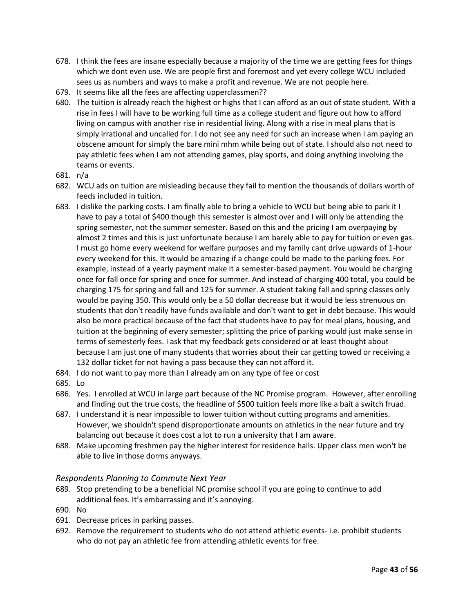- 678. I think the fees are insane especially because a majority of the time we are getting fees for things which we dont even use. We are people first and foremost and yet every college WCU included sees us as numbers and ways to make a profit and revenue. We are not people here.
- 679. It seems like all the fees are affecting upperclassmen??
- 680. The tuition is already reach the highest or highs that I can afford as an out of state student. With a rise in fees I will have to be working full time as a college student and figure out how to afford living on campus with another rise in residential living. Along with a rise in meal plans that is simply irrational and uncalled for. I do not see any need for such an increase when I am paying an obscene amount for simply the bare mini mhm while being out of state. I should also not need to pay athletic fees when I am not attending games, play sports, and doing anything involving the teams or events.
- 681. n/a
- 682. WCU ads on tuition are misleading because they fail to mention the thousands of dollars worth of feeds included in tuition.
- 683. I dislike the parking costs. I am finally able to bring a vehicle to WCU but being able to park it I have to pay a total of \$400 though this semester is almost over and I will only be attending the spring semester, not the summer semester. Based on this and the pricing I am overpaying by almost 2 times and this is just unfortunate because I am barely able to pay for tuition or even gas. I must go home every weekend for welfare purposes and my family cant drive upwards of 1-hour every weekend for this. It would be amazing if a change could be made to the parking fees. For example, instead of a yearly payment make it a semester-based payment. You would be charging once for fall once for spring and once for summer. And instead of charging 400 total, you could be charging 175 for spring and fall and 125 for summer. A student taking fall and spring classes only would be paying 350. This would only be a 50 dollar decrease but it would be less strenuous on students that don't readily have funds available and don't want to get in debt because. This would also be more practical because of the fact that students have to pay for meal plans, housing, and tuition at the beginning of every semester; splitting the price of parking would just make sense in terms of semesterly fees. I ask that my feedback gets considered or at least thought about because I am just one of many students that worries about their car getting towed or receiving a 132 dollar ticket for not having a pass because they can not afford it.
- 684. I do not want to pay more than I already am on any type of fee or cost
- 685. Lo
- 686. Yes. I enrolled at WCU in large part because of the NC Promise program. However, after enrolling and finding out the true costs, the headline of \$500 tuition feels more like a bait a switch fruad.
- 687. I understand it is near impossible to lower tuition without cutting programs and amenities. However, we shouldn't spend disproportionate amounts on athletics in the near future and try balancing out because it does cost a lot to run a university that I am aware.
- 688. Make upcoming freshmen pay the higher interest for residence halls. Upper class men won't be able to live in those dorms anyways.

## *Respondents Planning to Commute Next Year*

- <span id="page-42-0"></span>689. Stop pretending to be a beneficial NC promise school if you are going to continue to add additional fees. It's embarrassing and it's annoying.
- 690. No
- 691. Decrease prices in parking passes.
- 692. Remove the requirement to students who do not attend athletic events- i.e. prohibit students who do not pay an athletic fee from attending athletic events for free.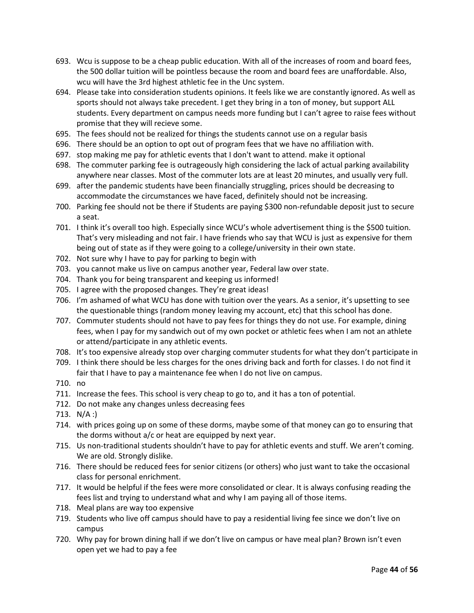- 693. Wcu is suppose to be a cheap public education. With all of the increases of room and board fees, the 500 dollar tuition will be pointless because the room and board fees are unaffordable. Also, wcu will have the 3rd highest athletic fee in the Unc system.
- 694. Please take into consideration students opinions. It feels like we are constantly ignored. As well as sports should not always take precedent. I get they bring in a ton of money, but support ALL students. Every department on campus needs more funding but I can't agree to raise fees without promise that they will recieve some.
- 695. The fees should not be realized for things the students cannot use on a regular basis
- 696. There should be an option to opt out of program fees that we have no affiliation with.
- 697. stop making me pay for athletic events that I don't want to attend. make it optional
- 698. The commuter parking fee is outrageously high considering the lack of actual parking availability anywhere near classes. Most of the commuter lots are at least 20 minutes, and usually very full.
- 699. after the pandemic students have been financially struggling, prices should be decreasing to accommodate the circumstances we have faced, definitely should not be increasing.
- 700. Parking fee should not be there if Students are paying \$300 non-refundable deposit just to secure a seat.
- 701. I think it's overall too high. Especially since WCU's whole advertisement thing is the \$500 tuition. That's very misleading and not fair. I have friends who say that WCU is just as expensive for them being out of state as if they were going to a college/university in their own state.
- 702. Not sure why I have to pay for parking to begin with
- 703. you cannot make us live on campus another year, Federal law over state.
- 704. Thank you for being transparent and keeping us informed!
- 705. I agree with the proposed changes. They're great ideas!
- 706. I'm ashamed of what WCU has done with tuition over the years. As a senior, it's upsetting to see the questionable things (random money leaving my account, etc) that this school has done.
- 707. Commuter students should not have to pay fees for things they do not use. For example, dining fees, when I pay for my sandwich out of my own pocket or athletic fees when I am not an athlete or attend/participate in any athletic events.
- 708. It's too expensive already stop over charging commuter students for what they don't participate in
- 709. I think there should be less charges for the ones driving back and forth for classes. I do not find it fair that I have to pay a maintenance fee when I do not live on campus.
- 710. no
- 711. Increase the fees. This school is very cheap to go to, and it has a ton of potential.
- 712. Do not make any changes unless decreasing fees
- 713. N/A :)
- 714. with prices going up on some of these dorms, maybe some of that money can go to ensuring that the dorms without a/c or heat are equipped by next year.
- 715. Us non-traditional students shouldn't have to pay for athletic events and stuff. We aren't coming. We are old. Strongly dislike.
- 716. There should be reduced fees for senior citizens (or others) who just want to take the occasional class for personal enrichment.
- 717. It would be helpful if the fees were more consolidated or clear. It is always confusing reading the fees list and trying to understand what and why I am paying all of those items.
- 718. Meal plans are way too expensive
- 719. Students who live off campus should have to pay a residential living fee since we don't live on campus
- 720. Why pay for brown dining hall if we don't live on campus or have meal plan? Brown isn't even open yet we had to pay a fee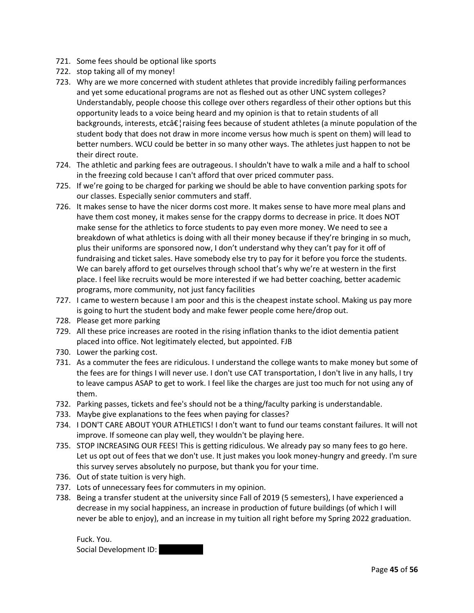- 721. Some fees should be optional like sports
- 722. stop taking all of my money!
- 723. Why are we more concerned with student athletes that provide incredibly failing performances and yet some educational programs are not as fleshed out as other UNC system colleges? Understandably, people choose this college over others regardless of their other options but this opportunity leads to a voice being heard and my opinion is that to retain students of all backgrounds, interests, etcâ $\epsilon$ <sup>1</sup> raising fees because of student athletes (a minute population of the student body that does not draw in more income versus how much is spent on them) will lead to better numbers. WCU could be better in so many other ways. The athletes just happen to not be their direct route.
- 724. The athletic and parking fees are outrageous. I shouldn't have to walk a mile and a half to school in the freezing cold because I can't afford that over priced commuter pass.
- 725. If we're going to be charged for parking we should be able to have convention parking spots for our classes. Especially senior commuters and staff.
- 726. It makes sense to have the nicer dorms cost more. It makes sense to have more meal plans and have them cost money, it makes sense for the crappy dorms to decrease in price. It does NOT make sense for the athletics to force students to pay even more money. We need to see a breakdown of what athletics is doing with all their money because if they're bringing in so much, plus their uniforms are sponsored now, I don't understand why they can't pay for it off of fundraising and ticket sales. Have somebody else try to pay for it before you force the students. We can barely afford to get ourselves through school that's why we're at western in the first place. I feel like recruits would be more interested if we had better coaching, better academic programs, more community, not just fancy facilities
- 727. I came to western because I am poor and this is the cheapest instate school. Making us pay more is going to hurt the student body and make fewer people come here/drop out.
- 728. Please get more parking
- 729. All these price increases are rooted in the rising inflation thanks to the idiot dementia patient placed into office. Not legitimately elected, but appointed. FJB
- 730. Lower the parking cost.
- 731. As a commuter the fees are ridiculous. I understand the college wants to make money but some of the fees are for things I will never use. I don't use CAT transportation, I don't live in any halls, I try to leave campus ASAP to get to work. I feel like the charges are just too much for not using any of them.
- 732. Parking passes, tickets and fee's should not be a thing/faculty parking is understandable.
- 733. Maybe give explanations to the fees when paying for classes?
- 734. I DON'T CARE ABOUT YOUR ATHLETICS! I don't want to fund our teams constant failures. It will not improve. If someone can play well, they wouldn't be playing here.
- 735. STOP INCREASING OUR FEES! This is getting ridiculous. We already pay so many fees to go here. Let us opt out of fees that we don't use. It just makes you look money-hungry and greedy. I'm sure this survey serves absolutely no purpose, but thank you for your time.
- 736. Out of state tuition is very high.
- 737. Lots of unnecessary fees for commuters in my opinion.
- 738. Being a transfer student at the university since Fall of 2019 (5 semesters), I have experienced a decrease in my social happiness, an increase in production of future buildings (of which I will never be able to enjoy), and an increase in my tuition all right before my Spring 2022 graduation.

Fuck. You. Social Development ID: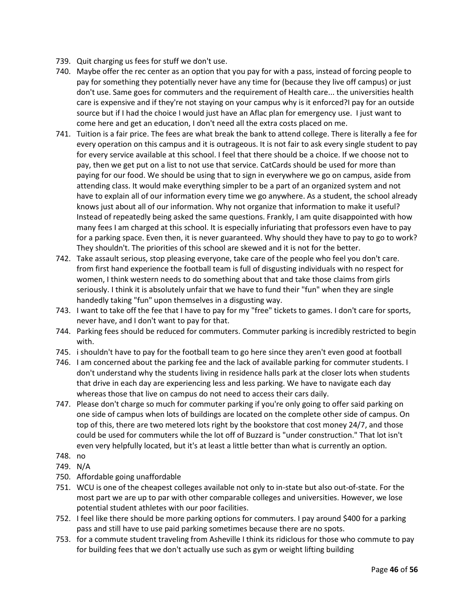- 739. Quit charging us fees for stuff we don't use.
- 740. Maybe offer the rec center as an option that you pay for with a pass, instead of forcing people to pay for something they potentially never have any time for (because they live off campus) or just don't use. Same goes for commuters and the requirement of Health care... the universities health care is expensive and if they're not staying on your campus why is it enforced?I pay for an outside source but if I had the choice I would just have an Aflac plan for emergency use. I just want to come here and get an education, I don't need all the extra costs placed on me.
- 741. Tuition is a fair price. The fees are what break the bank to attend college. There is literally a fee for every operation on this campus and it is outrageous. It is not fair to ask every single student to pay for every service available at this school. I feel that there should be a choice. If we choose not to pay, then we get put on a list to not use that service. CatCards should be used for more than paying for our food. We should be using that to sign in everywhere we go on campus, aside from attending class. It would make everything simpler to be a part of an organized system and not have to explain all of our information every time we go anywhere. As a student, the school already knows just about all of our information. Why not organize that information to make it useful? Instead of repeatedly being asked the same questions. Frankly, I am quite disappointed with how many fees I am charged at this school. It is especially infuriating that professors even have to pay for a parking space. Even then, it is never guaranteed. Why should they have to pay to go to work? They shouldn't. The priorities of this school are skewed and it is not for the better.
- 742. Take assault serious, stop pleasing everyone, take care of the people who feel you don't care. from first hand experience the football team is full of disgusting individuals with no respect for women, I think western needs to do something about that and take those claims from girls seriously. I think it is absolutely unfair that we have to fund their "fun" when they are single handedly taking "fun" upon themselves in a disgusting way.
- 743. I want to take off the fee that I have to pay for my "free" tickets to games. I don't care for sports, never have, and I don't want to pay for that.
- 744. Parking fees should be reduced for commuters. Commuter parking is incredibly restricted to begin with.
- 745. i shouldn't have to pay for the football team to go here since they aren't even good at football
- 746. I am concerned about the parking fee and the lack of available parking for commuter students. I don't understand why the students living in residence halls park at the closer lots when students that drive in each day are experiencing less and less parking. We have to navigate each day whereas those that live on campus do not need to access their cars daily.
- 747. Please don't charge so much for commuter parking if you're only going to offer said parking on one side of campus when lots of buildings are located on the complete other side of campus. On top of this, there are two metered lots right by the bookstore that cost money 24/7, and those could be used for commuters while the lot off of Buzzard is "under construction." That lot isn't even very helpfully located, but it's at least a little better than what is currently an option.
- 748. no
- 749. N/A
- 750. Affordable going unaffordable
- 751. WCU is one of the cheapest colleges available not only to in-state but also out-of-state. For the most part we are up to par with other comparable colleges and universities. However, we lose potential student athletes with our poor facilities.
- 752. I feel like there should be more parking options for commuters. I pay around \$400 for a parking pass and still have to use paid parking sometimes because there are no spots.
- 753. for a commute student traveling from Asheville I think its ridiclous for those who commute to pay for building fees that we don't actually use such as gym or weight lifting building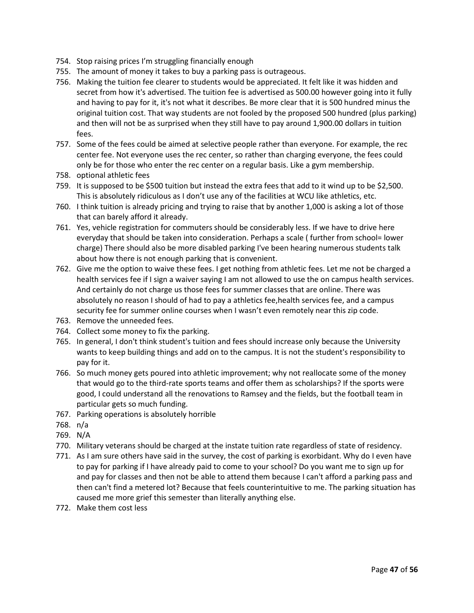- 754. Stop raising prices I'm struggling financially enough
- 755. The amount of money it takes to buy a parking pass is outrageous.
- 756. Making the tuition fee clearer to students would be appreciated. It felt like it was hidden and secret from how it's advertised. The tuition fee is advertised as 500.00 however going into it fully and having to pay for it, it's not what it describes. Be more clear that it is 500 hundred minus the original tuition cost. That way students are not fooled by the proposed 500 hundred (plus parking) and then will not be as surprised when they still have to pay around 1,900.00 dollars in tuition fees.
- 757. Some of the fees could be aimed at selective people rather than everyone. For example, the rec center fee. Not everyone uses the rec center, so rather than charging everyone, the fees could only be for those who enter the rec center on a regular basis. Like a gym membership.
- 758. optional athletic fees
- 759. It is supposed to be \$500 tuition but instead the extra fees that add to it wind up to be \$2,500. This is absolutely ridiculous as I don't use any of the facilities at WCU like athletics, etc.
- 760. I think tuition is already pricing and trying to raise that by another 1,000 is asking a lot of those that can barely afford it already.
- 761. Yes, vehicle registration for commuters should be considerably less. If we have to drive here everyday that should be taken into consideration. Perhaps a scale ( further from school= lower charge) There should also be more disabled parking I've been hearing numerous students talk about how there is not enough parking that is convenient.
- 762. Give me the option to waive these fees. I get nothing from athletic fees. Let me not be charged a health services fee if I sign a waiver saying I am not allowed to use the on campus health services. And certainly do not charge us those fees for summer classes that are online. There was absolutely no reason I should of had to pay a athletics fee,health services fee, and a campus security fee for summer online courses when I wasn't even remotely near this zip code.
- 763. Remove the unneeded fees.
- 764. Collect some money to fix the parking.
- 765. In general, I don't think student's tuition and fees should increase only because the University wants to keep building things and add on to the campus. It is not the student's responsibility to pay for it.
- 766. So much money gets poured into athletic improvement; why not reallocate some of the money that would go to the third-rate sports teams and offer them as scholarships? If the sports were good, I could understand all the renovations to Ramsey and the fields, but the football team in particular gets so much funding.
- 767. Parking operations is absolutely horrible
- 768. n/a
- 769. N/A
- 770. Military veterans should be charged at the instate tuition rate regardless of state of residency.
- 771. As I am sure others have said in the survey, the cost of parking is exorbidant. Why do I even have to pay for parking if I have already paid to come to your school? Do you want me to sign up for and pay for classes and then not be able to attend them because I can't afford a parking pass and then can't find a metered lot? Because that feels counterintuitive to me. The parking situation has caused me more grief this semester than literally anything else.
- 772. Make them cost less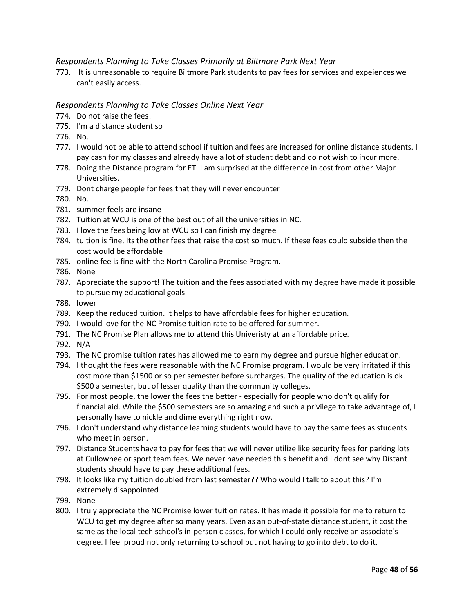## *Respondents Planning to Take Classes Primarily at Biltmore Park Next Year*

773. It is unreasonable to require Biltmore Park students to pay fees for services and expeiences we can't easily access.

#### <span id="page-47-0"></span>*Respondents Planning to Take Classes Online Next Year*

- 774. Do not raise the fees!
- 775. I'm a distance student so
- 776. No.
- 777. I would not be able to attend school if tuition and fees are increased for online distance students. I pay cash for my classes and already have a lot of student debt and do not wish to incur more.
- 778. Doing the Distance program for ET. I am surprised at the difference in cost from other Major Universities.
- 779. Dont charge people for fees that they will never encounter
- 780. No.
- 781. summer feels are insane
- 782. Tuition at WCU is one of the best out of all the universities in NC.
- 783. I love the fees being low at WCU so I can finish my degree
- 784. tuition is fine, Its the other fees that raise the cost so much. If these fees could subside then the cost would be affordable
- 785. online fee is fine with the North Carolina Promise Program.
- 786. None
- 787. Appreciate the support! The tuition and the fees associated with my degree have made it possible to pursue my educational goals
- 788. lower
- 789. Keep the reduced tuition. It helps to have affordable fees for higher education.
- 790. I would love for the NC Promise tuition rate to be offered for summer.
- 791. The NC Promise Plan allows me to attend this Univeristy at an affordable price.
- 792. N/A
- 793. The NC promise tuition rates has allowed me to earn my degree and pursue higher education.
- 794. I thought the fees were reasonable with the NC Promise program. I would be very irritated if this cost more than \$1500 or so per semester before surcharges. The quality of the education is ok \$500 a semester, but of lesser quality than the community colleges.
- 795. For most people, the lower the fees the better especially for people who don't qualify for financial aid. While the \$500 semesters are so amazing and such a privilege to take advantage of, I personally have to nickle and dime everything right now.
- 796. I don't understand why distance learning students would have to pay the same fees as students who meet in person.
- 797. Distance Students have to pay for fees that we will never utilize like security fees for parking lots at Cullowhee or sport team fees. We never have needed this benefit and I dont see why Distant students should have to pay these additional fees.
- 798. It looks like my tuition doubled from last semester?? Who would I talk to about this? I'm extremely disappointed
- 799. None
- 800. I truly appreciate the NC Promise lower tuition rates. It has made it possible for me to return to WCU to get my degree after so many years. Even as an out-of-state distance student, it cost the same as the local tech school's in-person classes, for which I could only receive an associate's degree. I feel proud not only returning to school but not having to go into debt to do it.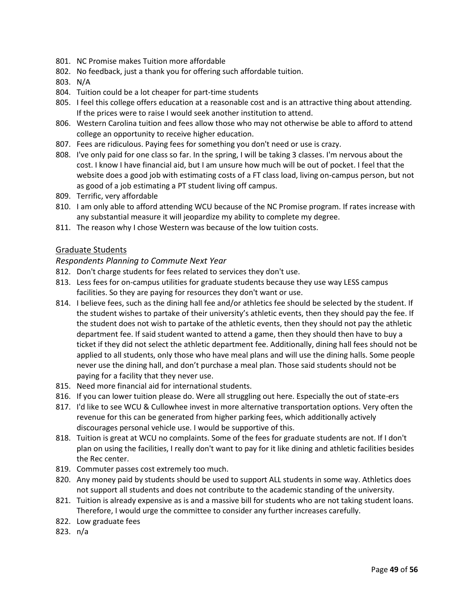- 801. NC Promise makes Tuition more affordable
- 802. No feedback, just a thank you for offering such affordable tuition.
- 803. N/A
- 804. Tuition could be a lot cheaper for part-time students
- 805. I feel this college offers education at a reasonable cost and is an attractive thing about attending. If the prices were to raise I would seek another institution to attend.
- 806. Western Carolina tuition and fees allow those who may not otherwise be able to afford to attend college an opportunity to receive higher education.
- 807. Fees are ridiculous. Paying fees for something you don't need or use is crazy.
- 808. I've only paid for one class so far. In the spring, I will be taking 3 classes. I'm nervous about the cost. I know I have financial aid, but I am unsure how much will be out of pocket. I feel that the website does a good job with estimating costs of a FT class load, living on-campus person, but not as good of a job estimating a PT student living off campus.
- 809. Terrific, very affordable
- 810. I am only able to afford attending WCU because of the NC Promise program. If rates increase with any substantial measure it will jeopardize my ability to complete my degree.
- 811. The reason why I chose Western was because of the low tuition costs.

#### Graduate Students

#### <span id="page-48-0"></span>*Respondents Planning to Commute Next Year*

- 812. Don't charge students for fees related to services they don't use.
- 813. Less fees for on-campus utilities for graduate students because they use way LESS campus facilities. So they are paying for resources they don't want or use.
- 814. I believe fees, such as the dining hall fee and/or athletics fee should be selected by the student. If the student wishes to partake of their university's athletic events, then they should pay the fee. If the student does not wish to partake of the athletic events, then they should not pay the athletic department fee. If said student wanted to attend a game, then they should then have to buy a ticket if they did not select the athletic department fee. Additionally, dining hall fees should not be applied to all students, only those who have meal plans and will use the dining halls. Some people never use the dining hall, and don't purchase a meal plan. Those said students should not be paying for a facility that they never use.
- 815. Need more financial aid for international students.
- 816. If you can lower tuition please do. Were all struggling out here. Especially the out of state-ers
- 817. I'd like to see WCU & Cullowhee invest in more alternative transportation options. Very often the revenue for this can be generated from higher parking fees, which additionally actively discourages personal vehicle use. I would be supportive of this.
- 818. Tuition is great at WCU no complaints. Some of the fees for graduate students are not. If I don't plan on using the facilities, I really don't want to pay for it like dining and athletic facilities besides the Rec center.
- 819. Commuter passes cost extremely too much.
- 820. Any money paid by students should be used to support ALL students in some way. Athletics does not support all students and does not contribute to the academic standing of the university.
- 821. Tuition is already expensive as is and a massive bill for students who are not taking student loans. Therefore, I would urge the committee to consider any further increases carefully.
- 822. Low graduate fees
- 823. n/a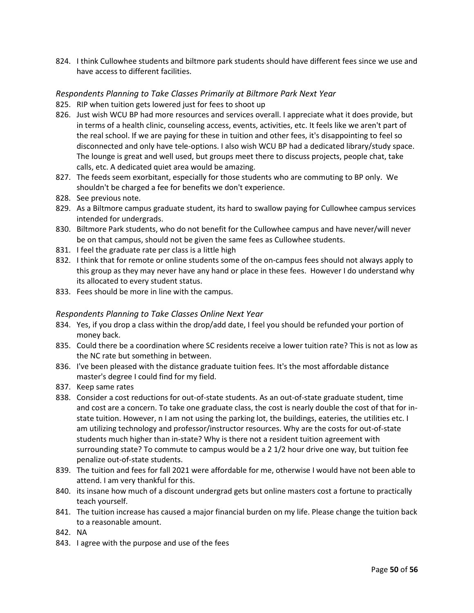824. I think Cullowhee students and biltmore park students should have different fees since we use and have access to different facilities.

#### <span id="page-49-0"></span>*Respondents Planning to Take Classes Primarily at Biltmore Park Next Year*

- <span id="page-49-1"></span>825. RIP when tuition gets lowered just for fees to shoot up
- 826. Just wish WCU BP had more resources and services overall. I appreciate what it does provide, but in terms of a health clinic, counseling access, events, activities, etc. It feels like we aren't part of the real school. If we are paying for these in tuition and other fees, it's disappointing to feel so disconnected and only have tele-options. I also wish WCU BP had a dedicated library/study space. The lounge is great and well used, but groups meet there to discuss projects, people chat, take calls, etc. A dedicated quiet area would be amazing.
- 827. The feeds seem exorbitant, especially for those students who are commuting to BP only. We shouldn't be charged a fee for benefits we don't experience.
- 828. See previous note.
- 829. As a Biltmore campus graduate student, its hard to swallow paying for Cullowhee campus services intended for undergrads.
- 830. Biltmore Park students, who do not benefit for the Cullowhee campus and have never/will never be on that campus, should not be given the same fees as Cullowhee students.
- 831. I feel the graduate rate per class is a little high
- 832. I think that for remote or online students some of the on-campus fees should not always apply to this group as they may never have any hand or place in these fees. However I do understand why its allocated to every student status.
- 833. Fees should be more in line with the campus.

#### *Respondents Planning to Take Classes Online Next Year*

- 834. Yes, if you drop a class within the drop/add date, I feel you should be refunded your portion of money back.
- 835. Could there be a coordination where SC residents receive a lower tuition rate? This is not as low as the NC rate but something in between.
- 836. I've been pleased with the distance graduate tuition fees. It's the most affordable distance master's degree I could find for my field.
- 837. Keep same rates
- 838. Consider a cost reductions for out-of-state students. As an out-of-state graduate student, time and cost are a concern. To take one graduate class, the cost is nearly double the cost of that for instate tuition. However, n I am not using the parking lot, the buildings, eateries, the utilities etc. I am utilizing technology and professor/instructor resources. Why are the costs for out-of-state students much higher than in-state? Why is there not a resident tuition agreement with surrounding state? To commute to campus would be a 2 1/2 hour drive one way, but tuition fee penalize out-of-state students.
- 839. The tuition and fees for fall 2021 were affordable for me, otherwise I would have not been able to attend. I am very thankful for this.
- 840. its insane how much of a discount undergrad gets but online masters cost a fortune to practically teach yourself.
- 841. The tuition increase has caused a major financial burden on my life. Please change the tuition back to a reasonable amount.
- 842. NA
- 843. I agree with the purpose and use of the fees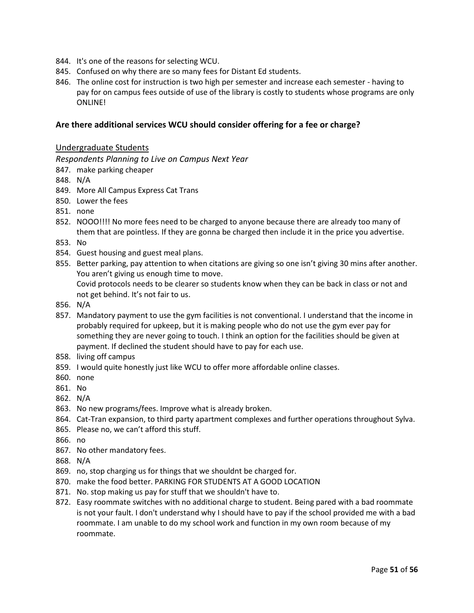- 844. It's one of the reasons for selecting WCU.
- 845. Confused on why there are so many fees for Distant Ed students.
- 846. The online cost for instruction is two high per semester and increase each semester having to pay for on campus fees outside of use of the library is costly to students whose programs are only ONLINE!

#### **Are there additional services WCU should consider offering for a fee or charge?**

#### Undergraduate Students

<span id="page-50-0"></span>*Respondents Planning to Live on Campus Next Year*

- 847. make parking cheaper
- 848. N/A
- 849. More All Campus Express Cat Trans
- 850. Lower the fees
- 851. none
- 852. NOOO!!!! No more fees need to be charged to anyone because there are already too many of them that are pointless. If they are gonna be charged then include it in the price you advertise.
- 853. No
- 854. Guest housing and guest meal plans.
- 855. Better parking, pay attention to when citations are giving so one isn't giving 30 mins after another. You aren't giving us enough time to move. Covid protocols needs to be clearer so students know when they can be back in class or not and not get behind. It's not fair to us.
- 856. N/A
- 857. Mandatory payment to use the gym facilities is not conventional. I understand that the income in probably required for upkeep, but it is making people who do not use the gym ever pay for something they are never going to touch. I think an option for the facilities should be given at payment. If declined the student should have to pay for each use.
- 858. living off campus
- 859. I would quite honestly just like WCU to offer more affordable online classes.
- 860. none
- 861. No
- 862. N/A
- 863. No new programs/fees. Improve what is already broken.
- 864. Cat-Tran expansion, to third party apartment complexes and further operations throughout Sylva.
- 865. Please no, we can't afford this stuff.
- 866. no
- 867. No other mandatory fees.
- 868. N/A
- 869. no, stop charging us for things that we shouldnt be charged for.
- 870. make the food better. PARKING FOR STUDENTS AT A GOOD LOCATION
- 871. No. stop making us pay for stuff that we shouldn't have to.
- 872. Easy roommate switches with no additional charge to student. Being pared with a bad roommate is not your fault. I don't understand why I should have to pay if the school provided me with a bad roommate. I am unable to do my school work and function in my own room because of my roommate.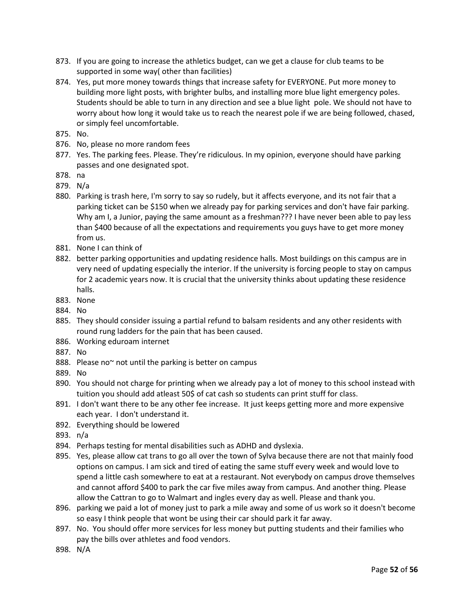- 873. If you are going to increase the athletics budget, can we get a clause for club teams to be supported in some way( other than facilities)
- 874. Yes, put more money towards things that increase safety for EVERYONE. Put more money to building more light posts, with brighter bulbs, and installing more blue light emergency poles. Students should be able to turn in any direction and see a blue light pole. We should not have to worry about how long it would take us to reach the nearest pole if we are being followed, chased, or simply feel uncomfortable.
- 875. No.
- 876. No, please no more random fees
- 877. Yes. The parking fees. Please. They're ridiculous. In my opinion, everyone should have parking passes and one designated spot.
- 878. na
- 879. N/a
- 880. Parking is trash here, I'm sorry to say so rudely, but it affects everyone, and its not fair that a parking ticket can be \$150 when we already pay for parking services and don't have fair parking. Why am I, a Junior, paying the same amount as a freshman??? I have never been able to pay less than \$400 because of all the expectations and requirements you guys have to get more money from us.
- 881. None I can think of
- 882. better parking opportunities and updating residence halls. Most buildings on this campus are in very need of updating especially the interior. If the university is forcing people to stay on campus for 2 academic years now. It is crucial that the university thinks about updating these residence halls.
- 883. None
- 884. No
- 885. They should consider issuing a partial refund to balsam residents and any other residents with round rung ladders for the pain that has been caused.
- 886. Working eduroam internet
- 887. No
- 888. Please no~ not until the parking is better on campus
- 889. No
- 890. You should not charge for printing when we already pay a lot of money to this school instead with tuition you should add atleast 50\$ of cat cash so students can print stuff for class.
- 891. I don't want there to be any other fee increase. It just keeps getting more and more expensive each year. I don't understand it.
- 892. Everything should be lowered
- 893. n/a
- 894. Perhaps testing for mental disabilities such as ADHD and dyslexia.
- 895. Yes, please allow cat trans to go all over the town of Sylva because there are not that mainly food options on campus. I am sick and tired of eating the same stuff every week and would love to spend a little cash somewhere to eat at a restaurant. Not everybody on campus drove themselves and cannot afford \$400 to park the car five miles away from campus. And another thing. Please allow the Cattran to go to Walmart and ingles every day as well. Please and thank you.
- 896. parking we paid a lot of money just to park a mile away and some of us work so it doesn't become so easy I think people that wont be using their car should park it far away.
- 897. No. You should offer more services for less money but putting students and their families who pay the bills over athletes and food vendors.
- 898. N/A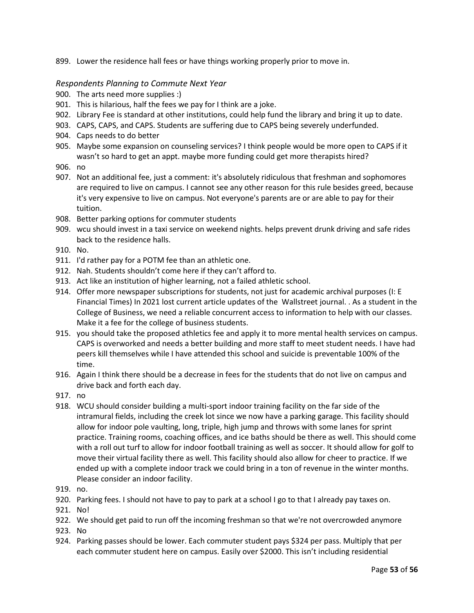899. Lower the residence hall fees or have things working properly prior to move in.

## <span id="page-52-0"></span>*Respondents Planning to Commute Next Year*

- 900. The arts need more supplies :)
- 901. This is hilarious, half the fees we pay for I think are a joke.
- 902. Library Fee is standard at other institutions, could help fund the library and bring it up to date.
- 903. CAPS, CAPS, and CAPS. Students are suffering due to CAPS being severely underfunded.
- 904. Caps needs to do better
- 905. Maybe some expansion on counseling services? I think people would be more open to CAPS if it wasn't so hard to get an appt. maybe more funding could get more therapists hired?
- 906. no
- 907. Not an additional fee, just a comment: it's absolutely ridiculous that freshman and sophomores are required to live on campus. I cannot see any other reason for this rule besides greed, because it's very expensive to live on campus. Not everyone's parents are or are able to pay for their tuition.
- 908. Better parking options for commuter students
- 909. wcu should invest in a taxi service on weekend nights. helps prevent drunk driving and safe rides back to the residence halls.
- 910. No.
- 911. I'd rather pay for a POTM fee than an athletic one.
- 912. Nah. Students shouldn't come here if they can't afford to.
- 913. Act like an institution of higher learning, not a failed athletic school.
- 914. Offer more newspaper subscriptions for students, not just for academic archival purposes (I: E Financial Times) In 2021 lost current article updates of the Wallstreet journal. . As a student in the College of Business, we need a reliable concurrent access to information to help with our classes. Make it a fee for the college of business students.
- 915. you should take the proposed athletics fee and apply it to more mental health services on campus. CAPS is overworked and needs a better building and more staff to meet student needs. I have had peers kill themselves while I have attended this school and suicide is preventable 100% of the time.
- 916. Again I think there should be a decrease in fees for the students that do not live on campus and drive back and forth each day.
- 917. no
- 918. WCU should consider building a multi-sport indoor training facility on the far side of the intramural fields, including the creek lot since we now have a parking garage. This facility should allow for indoor pole vaulting, long, triple, high jump and throws with some lanes for sprint practice. Training rooms, coaching offices, and ice baths should be there as well. This should come with a roll out turf to allow for indoor football training as well as soccer. It should allow for golf to move their virtual facility there as well. This facility should also allow for cheer to practice. If we ended up with a complete indoor track we could bring in a ton of revenue in the winter months. Please consider an indoor facility.
- 919. no.
- 920. Parking fees. I should not have to pay to park at a school I go to that I already pay taxes on.
- 921. No!
- 922. We should get paid to run off the incoming freshman so that we're not overcrowded anymore
- 923. No
- 924. Parking passes should be lower. Each commuter student pays \$324 per pass. Multiply that per each commuter student here on campus. Easily over \$2000. This isn't including residential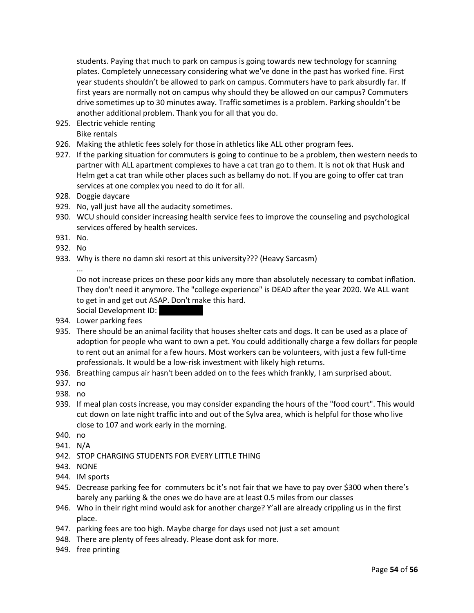students. Paying that much to park on campus is going towards new technology for scanning plates. Completely unnecessary considering what we've done in the past has worked fine. First year students shouldn't be allowed to park on campus. Commuters have to park absurdly far. If first years are normally not on campus why should they be allowed on our campus? Commuters drive sometimes up to 30 minutes away. Traffic sometimes is a problem. Parking shouldn't be another additional problem. Thank you for all that you do.

- 925. Electric vehicle renting Bike rentals
- 926. Making the athletic fees solely for those in athletics like ALL other program fees.
- 927. If the parking situation for commuters is going to continue to be a problem, then western needs to partner with ALL apartment complexes to have a cat tran go to them. It is not ok that Husk and Helm get a cat tran while other places such as bellamy do not. If you are going to offer cat tran services at one complex you need to do it for all.
- 928. Doggie daycare
- 929. No, yall just have all the audacity sometimes.
- 930. WCU should consider increasing health service fees to improve the counseling and psychological services offered by health services.
- 931. No.
- 932. No
- 933. Why is there no damn ski resort at this university??? (Heavy Sarcasm)

...

- Do not increase prices on these poor kids any more than absolutely necessary to combat inflation. They don't need it anymore. The "college experience" is DEAD after the year 2020. We ALL want to get in and get out ASAP. Don't make this hard.
- Social Development ID:
- 934. Lower parking fees
- 935. There should be an animal facility that houses shelter cats and dogs. It can be used as a place of adoption for people who want to own a pet. You could additionally charge a few dollars for people to rent out an animal for a few hours. Most workers can be volunteers, with just a few full-time professionals. It would be a low-risk investment with likely high returns.
- 936. Breathing campus air hasn't been added on to the fees which frankly, I am surprised about.
- 937. no
- 938. no
- 939. If meal plan costs increase, you may consider expanding the hours of the "food court". This would cut down on late night traffic into and out of the Sylva area, which is helpful for those who live close to 107 and work early in the morning.
- 940. no
- 941. N/A
- 942. STOP CHARGING STUDENTS FOR EVERY LITTLE THING
- 943. NONE
- 944. IM sports
- 945. Decrease parking fee for commuters bc it's not fair that we have to pay over \$300 when there's barely any parking & the ones we do have are at least 0.5 miles from our classes
- 946. Who in their right mind would ask for another charge? Y'all are already crippling us in the first place.
- 947. parking fees are too high. Maybe charge for days used not just a set amount
- 948. There are plenty of fees already. Please dont ask for more.
- 949. free printing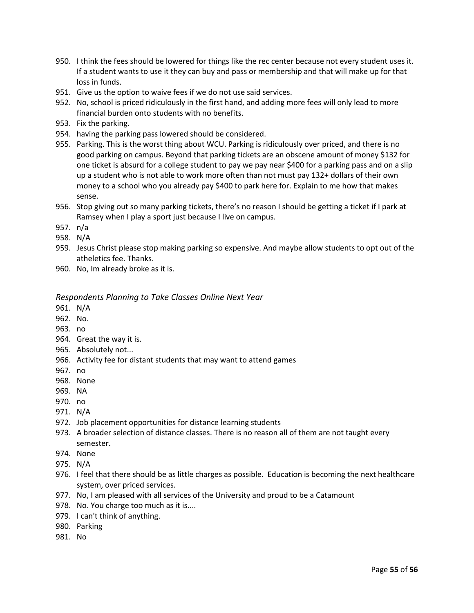- 950. I think the fees should be lowered for things like the rec center because not every student uses it. If a student wants to use it they can buy and pass or membership and that will make up for that loss in funds.
- 951. Give us the option to waive fees if we do not use said services.
- 952. No, school is priced ridiculously in the first hand, and adding more fees will only lead to more financial burden onto students with no benefits.
- 953. Fix the parking.
- 954. having the parking pass lowered should be considered.
- 955. Parking. This is the worst thing about WCU. Parking is ridiculously over priced, and there is no good parking on campus. Beyond that parking tickets are an obscene amount of money \$132 for one ticket is absurd for a college student to pay we pay near \$400 for a parking pass and on a slip up a student who is not able to work more often than not must pay 132+ dollars of their own money to a school who you already pay \$400 to park here for. Explain to me how that makes sense.
- 956. Stop giving out so many parking tickets, there's no reason I should be getting a ticket if I park at Ramsey when I play a sport just because I live on campus.
- 957. n/a
- 958. N/A
- 959. Jesus Christ please stop making parking so expensive. And maybe allow students to opt out of the atheletics fee. Thanks.
- 960. No, Im already broke as it is.

#### <span id="page-54-0"></span>*Respondents Planning to Take Classes Online Next Year*

- 961. N/A
- 962. No.
- 963. no
- 964. Great the way it is.
- 965. Absolutely not...
- 966. Activity fee for distant students that may want to attend games
- 967. no
- 968. None
- 969. NA
- 970. no
- 971. N/A
- 972. Job placement opportunities for distance learning students
- 973. A broader selection of distance classes. There is no reason all of them are not taught every semester.
- 974. None
- 975. N/A
- 976. I feel that there should be as little charges as possible. Education is becoming the next healthcare system, over priced services.
- 977. No, I am pleased with all services of the University and proud to be a Catamount
- 978. No. You charge too much as it is....
- 979. I can't think of anything.
- 980. Parking
- 981. No